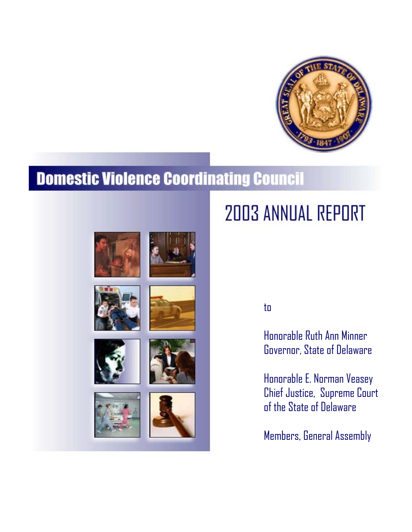

# **Domestic Violence Coordinating Council**













# **2003 ANNUAL REPORT**

to

Honorable Ruth Ann Minner Governor, State of Delaware

Honorable E. Norman Veasey Chief Justice, Supreme Court of the State of Delaware

Members, General Assembly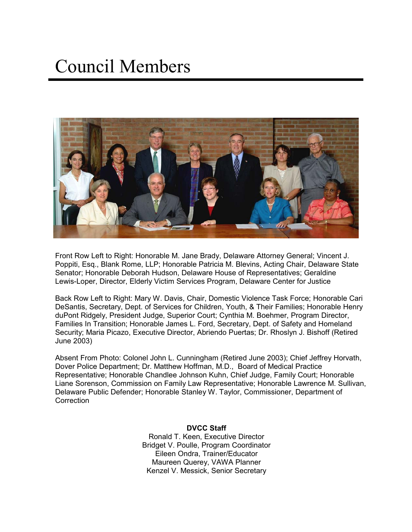# Council Members



Front Row Left to Right: Honorable M. Jane Brady, Delaware Attorney General; Vincent J. Poppiti, Esq., Blank Rome, LLP; Honorable Patricia M. Blevins, Acting Chair, Delaware State Senator; Honorable Deborah Hudson, Delaware House of Representatives; Geraldine Lewis-Loper, Director, Elderly Victim Services Program, Delaware Center for Justice

Back Row Left to Right: Mary W. Davis, Chair, Domestic Violence Task Force; Honorable Cari DeSantis, Secretary, Dept. of Services for Children, Youth, & Their Families; Honorable Henry duPont Ridgely, President Judge, Superior Court; Cynthia M. Boehmer, Program Director, Families In Transition; Honorable James L. Ford, Secretary, Dept. of Safety and Homeland Security; Maria Picazo, Executive Director, Abriendo Puertas; Dr. Rhoslyn J. Bishoff (Retired June 2003)

Absent From Photo: Colonel John L. Cunningham (Retired June 2003); Chief Jeffrey Horvath, Dover Police Department; Dr. Matthew Hoffman, M.D., Board of Medical Practice Representative; Honorable Chandlee Johnson Kuhn, Chief Judge, Family Court; Honorable Liane Sorenson, Commission on Family Law Representative; Honorable Lawrence M. Sullivan, Delaware Public Defender; Honorable Stanley W. Taylor, Commissioner, Department of **Correction** 

> **DVCC Staff**  Ronald T. Keen, Executive Director Bridget V. Poulle, Program Coordinator Eileen Ondra, Trainer/Educator Maureen Querey, VAWA Planner Kenzel V. Messick, Senior Secretary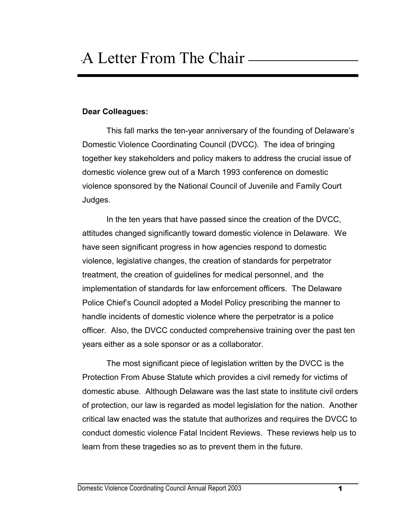#### **Dear Colleagues:**

This fall marks the ten-year anniversary of the founding of Delaware's Domestic Violence Coordinating Council (DVCC). The idea of bringing together key stakeholders and policy makers to address the crucial issue of domestic violence grew out of a March 1993 conference on domestic violence sponsored by the National Council of Juvenile and Family Court Judges.

 In the ten years that have passed since the creation of the DVCC, attitudes changed significantly toward domestic violence in Delaware. We have seen significant progress in how agencies respond to domestic violence, legislative changes, the creation of standards for perpetrator treatment, the creation of guidelines for medical personnel, and the implementation of standards for law enforcement officers. The Delaware Police Chief's Council adopted a Model Policy prescribing the manner to handle incidents of domestic violence where the perpetrator is a police officer. Also, the DVCC conducted comprehensive training over the past ten years either as a sole sponsor or as a collaborator.

The most significant piece of legislation written by the DVCC is the Protection From Abuse Statute which provides a civil remedy for victims of domestic abuse. Although Delaware was the last state to institute civil orders of protection, our law is regarded as model legislation for the nation. Another critical law enacted was the statute that authorizes and requires the DVCC to conduct domestic violence Fatal Incident Reviews. These reviews help us to learn from these tragedies so as to prevent them in the future.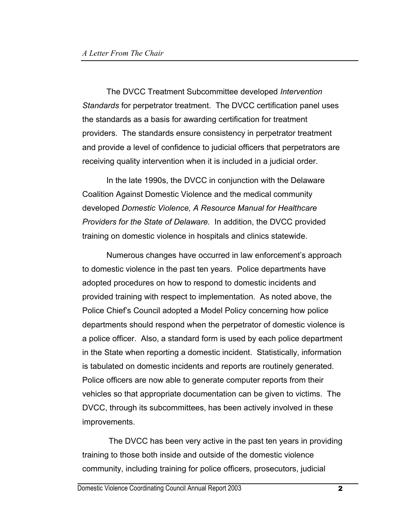The DVCC Treatment Subcommittee developed *Intervention Standards* for perpetrator treatment. The DVCC certification panel uses the standards as a basis for awarding certification for treatment providers. The standards ensure consistency in perpetrator treatment and provide a level of confidence to judicial officers that perpetrators are receiving quality intervention when it is included in a judicial order.

 In the late 1990s, the DVCC in conjunction with the Delaware Coalition Against Domestic Violence and the medical community developed *Domestic Violence, A Resource Manual for Healthcare Providers for the State of Delaware.* In addition, the DVCC provided training on domestic violence in hospitals and clinics statewide.

Numerous changes have occurred in law enforcement's approach to domestic violence in the past ten years. Police departments have adopted procedures on how to respond to domestic incidents and provided training with respect to implementation. As noted above, the Police Chief's Council adopted a Model Policy concerning how police departments should respond when the perpetrator of domestic violence is a police officer. Also, a standard form is used by each police department in the State when reporting a domestic incident. Statistically, information is tabulated on domestic incidents and reports are routinely generated. Police officers are now able to generate computer reports from their vehicles so that appropriate documentation can be given to victims. The DVCC, through its subcommittees, has been actively involved in these improvements.

 The DVCC has been very active in the past ten years in providing training to those both inside and outside of the domestic violence community, including training for police officers, prosecutors, judicial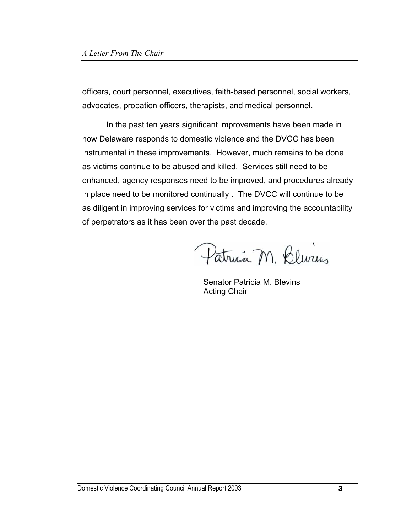officers, court personnel, executives, faith-based personnel, social workers, advocates, probation officers, therapists, and medical personnel.

 In the past ten years significant improvements have been made in how Delaware responds to domestic violence and the DVCC has been instrumental in these improvements. However, much remains to be done as victims continue to be abused and killed. Services still need to be enhanced, agency responses need to be improved, and procedures already in place need to be monitored continually . The DVCC will continue to be as diligent in improving services for victims and improving the accountability of perpetrators as it has been over the past decade.

Patricia M. Blurius

Senator Patricia M. Blevins Acting Chair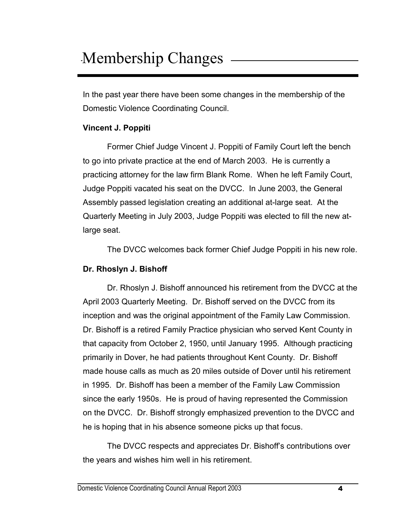# Membership Changes -

In the past year there have been some changes in the membership of the Domestic Violence Coordinating Council.

#### **Vincent J. Poppiti**

 Former Chief Judge Vincent J. Poppiti of Family Court left the bench to go into private practice at the end of March 2003. He is currently a practicing attorney for the law firm Blank Rome. When he left Family Court, Judge Poppiti vacated his seat on the DVCC. In June 2003, the General Assembly passed legislation creating an additional at-large seat. At the Quarterly Meeting in July 2003, Judge Poppiti was elected to fill the new atlarge seat.

The DVCC welcomes back former Chief Judge Poppiti in his new role.

#### **Dr. Rhoslyn J. Bishoff**

 Dr. Rhoslyn J. Bishoff announced his retirement from the DVCC at the April 2003 Quarterly Meeting. Dr. Bishoff served on the DVCC from its inception and was the original appointment of the Family Law Commission. Dr. Bishoff is a retired Family Practice physician who served Kent County in that capacity from October 2, 1950, until January 1995. Although practicing primarily in Dover, he had patients throughout Kent County. Dr. Bishoff made house calls as much as 20 miles outside of Dover until his retirement in 1995. Dr. Bishoff has been a member of the Family Law Commission since the early 1950s. He is proud of having represented the Commission on the DVCC. Dr. Bishoff strongly emphasized prevention to the DVCC and he is hoping that in his absence someone picks up that focus.

 The DVCC respects and appreciates Dr. Bishoff's contributions over the years and wishes him well in his retirement.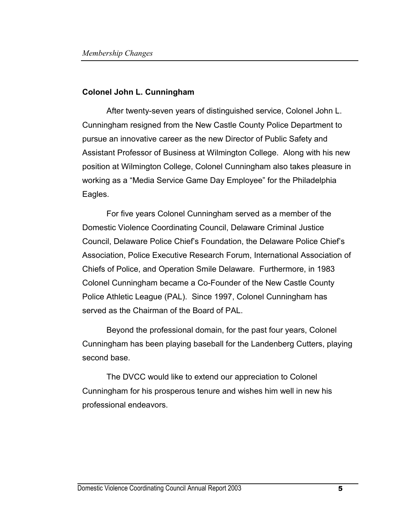#### **Colonel John L. Cunningham**

After twenty-seven years of distinguished service, Colonel John L. Cunningham resigned from the New Castle County Police Department to pursue an innovative career as the new Director of Public Safety and Assistant Professor of Business at Wilmington College. Along with his new position at Wilmington College, Colonel Cunningham also takes pleasure in working as a "Media Service Game Day Employee" for the Philadelphia Eagles.

 For five years Colonel Cunningham served as a member of the Domestic Violence Coordinating Council, Delaware Criminal Justice Council, Delaware Police Chief's Foundation, the Delaware Police Chief's Association, Police Executive Research Forum, International Association of Chiefs of Police, and Operation Smile Delaware. Furthermore, in 1983 Colonel Cunningham became a Co-Founder of the New Castle County Police Athletic League (PAL). Since 1997, Colonel Cunningham has served as the Chairman of the Board of PAL.

Beyond the professional domain, for the past four years, Colonel Cunningham has been playing baseball for the Landenberg Cutters, playing second base.

The DVCC would like to extend our appreciation to Colonel Cunningham for his prosperous tenure and wishes him well in new his professional endeavors.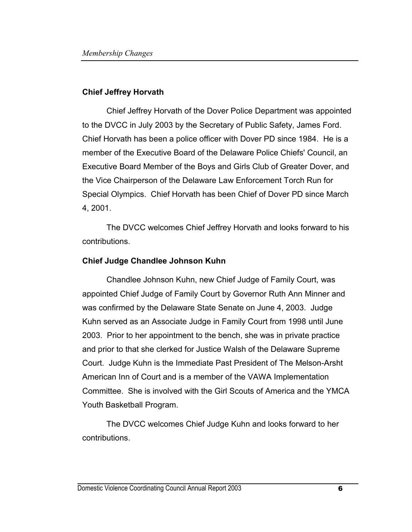#### **Chief Jeffrey Horvath**

 Chief Jeffrey Horvath of the Dover Police Department was appointed to the DVCC in July 2003 by the Secretary of Public Safety, James Ford. Chief Horvath has been a police officer with Dover PD since 1984. He is a member of the Executive Board of the Delaware Police Chiefs' Council, an Executive Board Member of the Boys and Girls Club of Greater Dover, and the Vice Chairperson of the Delaware Law Enforcement Torch Run for Special Olympics. Chief Horvath has been Chief of Dover PD since March 4, 2001.

 The DVCC welcomes Chief Jeffrey Horvath and looks forward to his contributions.

#### **Chief Judge Chandlee Johnson Kuhn**

 Chandlee Johnson Kuhn, new Chief Judge of Family Court, was appointed Chief Judge of Family Court by Governor Ruth Ann Minner and was confirmed by the Delaware State Senate on June 4, 2003. Judge Kuhn served as an Associate Judge in Family Court from 1998 until June 2003. Prior to her appointment to the bench, she was in private practice and prior to that she clerked for Justice Walsh of the Delaware Supreme Court. Judge Kuhn is the Immediate Past President of The Melson-Arsht American Inn of Court and is a member of the VAWA Implementation Committee. She is involved with the Girl Scouts of America and the YMCA Youth Basketball Program.

 The DVCC welcomes Chief Judge Kuhn and looks forward to her contributions.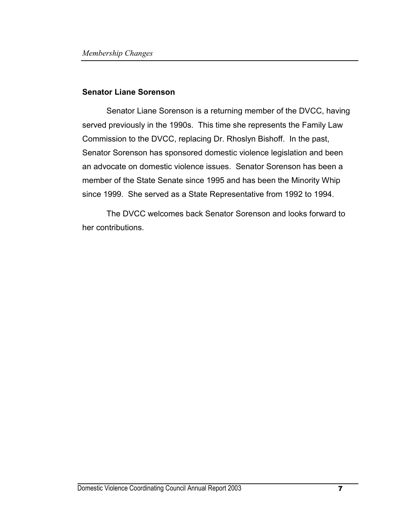#### **Senator Liane Sorenson**

 Senator Liane Sorenson is a returning member of the DVCC, having served previously in the 1990s. This time she represents the Family Law Commission to the DVCC, replacing Dr. Rhoslyn Bishoff. In the past, Senator Sorenson has sponsored domestic violence legislation and been an advocate on domestic violence issues. Senator Sorenson has been a member of the State Senate since 1995 and has been the Minority Whip since 1999. She served as a State Representative from 1992 to 1994.

 The DVCC welcomes back Senator Sorenson and looks forward to her contributions.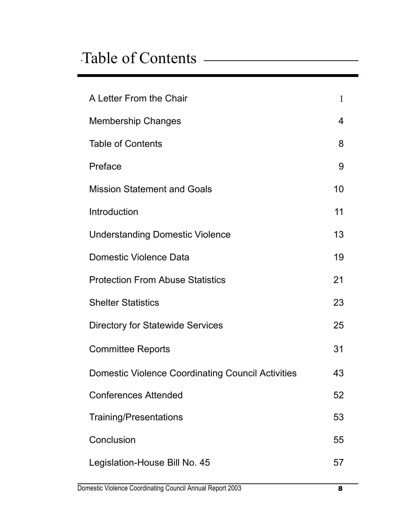# Table of Contents

| A Letter From the Chair                                  | 1  |
|----------------------------------------------------------|----|
| <b>Membership Changes</b>                                | 4  |
| <b>Table of Contents</b>                                 | 8  |
| Preface                                                  | 9  |
| <b>Mission Statement and Goals</b>                       | 10 |
| Introduction                                             | 11 |
| <b>Understanding Domestic Violence</b>                   | 13 |
| Domestic Violence Data                                   | 19 |
| <b>Protection From Abuse Statistics</b>                  | 21 |
| <b>Shelter Statistics</b>                                | 23 |
| <b>Directory for Statewide Services</b>                  | 25 |
| <b>Committee Reports</b>                                 | 31 |
| <b>Domestic Violence Coordinating Council Activities</b> | 43 |
| <b>Conferences Attended</b>                              | 52 |
| <b>Training/Presentations</b>                            | 53 |
| Conclusion                                               | 55 |
| Legislation-House Bill No. 45                            | 57 |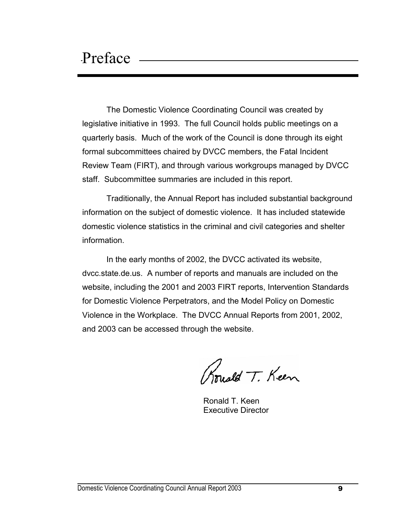The Domestic Violence Coordinating Council was created by legislative initiative in 1993. The full Council holds public meetings on a quarterly basis. Much of the work of the Council is done through its eight formal subcommittees chaired by DVCC members, the Fatal Incident Review Team (FIRT), and through various workgroups managed by DVCC staff. Subcommittee summaries are included in this report.

 Traditionally, the Annual Report has included substantial background information on the subject of domestic violence. It has included statewide domestic violence statistics in the criminal and civil categories and shelter information.

 In the early months of 2002, the DVCC activated its website, dvcc.state.de.us. A number of reports and manuals are included on the website, including the 2001 and 2003 FIRT reports, Intervention Standards for Domestic Violence Perpetrators, and the Model Policy on Domestic Violence in the Workplace. The DVCC Annual Reports from 2001, 2002, and 2003 can be accessed through the website.

Rouald T. Keen

 Ronald T. Keen Executive Director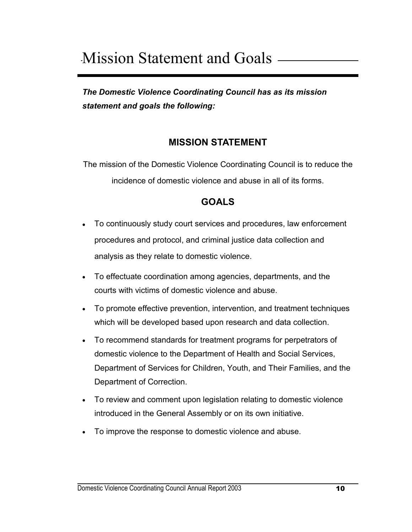# Mission Statement and Goals

*The Domestic Violence Coordinating Council has as its mission statement and goals the following:* 

## **MISSION STATEMENT**

The mission of the Domestic Violence Coordinating Council is to reduce the incidence of domestic violence and abuse in all of its forms.

# **GOALS**

- To continuously study court services and procedures, law enforcement procedures and protocol, and criminal justice data collection and analysis as they relate to domestic violence.
- To effectuate coordination among agencies, departments, and the courts with victims of domestic violence and abuse.
- To promote effective prevention, intervention, and treatment techniques which will be developed based upon research and data collection.
- To recommend standards for treatment programs for perpetrators of domestic violence to the Department of Health and Social Services, Department of Services for Children, Youth, and Their Families, and the Department of Correction.
- To review and comment upon legislation relating to domestic violence introduced in the General Assembly or on its own initiative.
- To improve the response to domestic violence and abuse.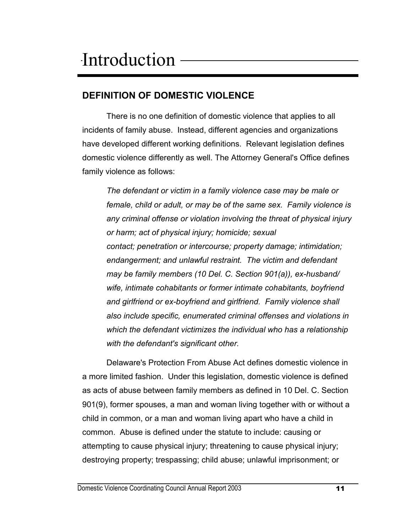# **DEFINITION OF DOMESTIC VIOLENCE**

 There is no one definition of domestic violence that applies to all incidents of family abuse. Instead, different agencies and organizations have developed different working definitions. Relevant legislation defines domestic violence differently as well. The Attorney General's Office defines family violence as follows:

*The defendant or victim in a family violence case may be male or female, child or adult, or may be of the same sex. Family violence is any criminal offense or violation involving the threat of physical injury or harm; act of physical injury; homicide; sexual contact; penetration or intercourse; property damage; intimidation; endangerment; and unlawful restraint. The victim and defendant may be family members (10 Del. C. Section 901(a)), ex-husband/ wife, intimate cohabitants or former intimate cohabitants, boyfriend and girlfriend or ex-boyfriend and girlfriend. Family violence shall also include specific, enumerated criminal offenses and violations in which the defendant victimizes the individual who has a relationship with the defendant's significant other.* 

 Delaware's Protection From Abuse Act defines domestic violence in a more limited fashion. Under this legislation, domestic violence is defined as acts of abuse between family members as defined in 10 Del. C. Section 901(9), former spouses, a man and woman living together with or without a child in common, or a man and woman living apart who have a child in common. Abuse is defined under the statute to include: causing or attempting to cause physical injury; threatening to cause physical injury; destroying property; trespassing; child abuse; unlawful imprisonment; or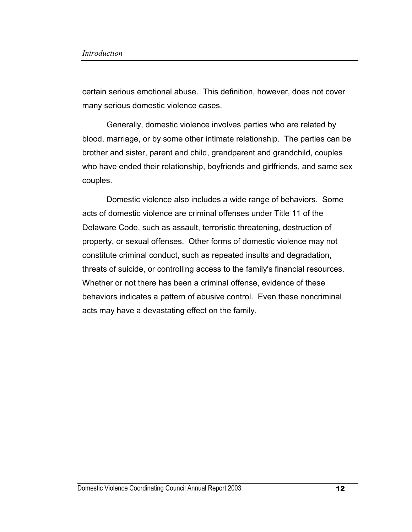certain serious emotional abuse. This definition, however, does not cover many serious domestic violence cases.

 Generally, domestic violence involves parties who are related by blood, marriage, or by some other intimate relationship. The parties can be brother and sister, parent and child, grandparent and grandchild, couples who have ended their relationship, boyfriends and girlfriends, and same sex couples.

 Domestic violence also includes a wide range of behaviors. Some acts of domestic violence are criminal offenses under Title 11 of the Delaware Code, such as assault, terroristic threatening, destruction of property, or sexual offenses. Other forms of domestic violence may not constitute criminal conduct, such as repeated insults and degradation, threats of suicide, or controlling access to the family's financial resources. Whether or not there has been a criminal offense, evidence of these behaviors indicates a pattern of abusive control. Even these noncriminal acts may have a devastating effect on the family.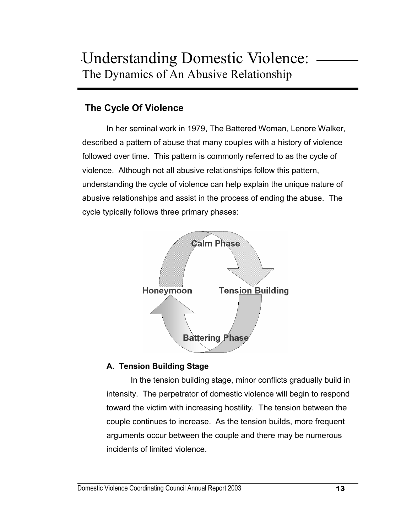# **The Cycle Of Violence**

 In her seminal work in 1979, The Battered Woman, Lenore Walker, described a pattern of abuse that many couples with a history of violence followed over time. This pattern is commonly referred to as the cycle of violence. Although not all abusive relationships follow this pattern, understanding the cycle of violence can help explain the unique nature of abusive relationships and assist in the process of ending the abuse. The cycle typically follows three primary phases:



#### **A. Tension Building Stage**

 In the tension building stage, minor conflicts gradually build in intensity. The perpetrator of domestic violence will begin to respond toward the victim with increasing hostility. The tension between the couple continues to increase. As the tension builds, more frequent arguments occur between the couple and there may be numerous incidents of limited violence.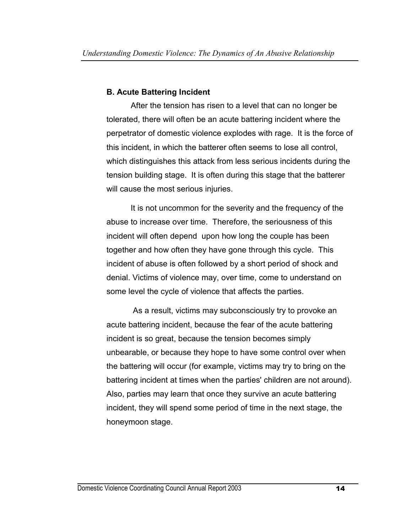#### **B. Acute Battering Incident**

 After the tension has risen to a level that can no longer be tolerated, there will often be an acute battering incident where the perpetrator of domestic violence explodes with rage. It is the force of this incident, in which the batterer often seems to lose all control, which distinguishes this attack from less serious incidents during the tension building stage. It is often during this stage that the batterer will cause the most serious injuries.

 It is not uncommon for the severity and the frequency of the abuse to increase over time. Therefore, the seriousness of this incident will often depend upon how long the couple has been together and how often they have gone through this cycle. This incident of abuse is often followed by a short period of shock and denial. Victims of violence may, over time, come to understand on some level the cycle of violence that affects the parties.

 As a result, victims may subconsciously try to provoke an acute battering incident, because the fear of the acute battering incident is so great, because the tension becomes simply unbearable, or because they hope to have some control over when the battering will occur (for example, victims may try to bring on the battering incident at times when the parties' children are not around). Also, parties may learn that once they survive an acute battering incident, they will spend some period of time in the next stage, the honeymoon stage.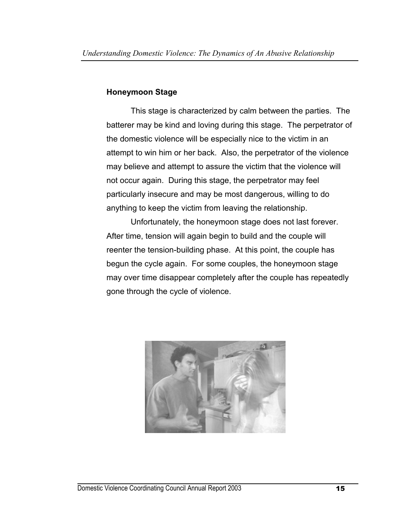#### **Honeymoon Stage**

 This stage is characterized by calm between the parties. The batterer may be kind and loving during this stage. The perpetrator of the domestic violence will be especially nice to the victim in an attempt to win him or her back. Also, the perpetrator of the violence may believe and attempt to assure the victim that the violence will not occur again. During this stage, the perpetrator may feel particularly insecure and may be most dangerous, willing to do anything to keep the victim from leaving the relationship.

 Unfortunately, the honeymoon stage does not last forever. After time, tension will again begin to build and the couple will reenter the tension-building phase. At this point, the couple has begun the cycle again. For some couples, the honeymoon stage may over time disappear completely after the couple has repeatedly gone through the cycle of violence.

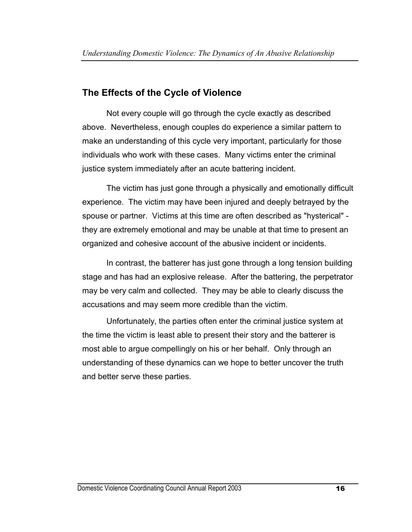# **The Effects of the Cycle of Violence**

 Not every couple will go through the cycle exactly as described above. Nevertheless, enough couples do experience a similar pattern to make an understanding of this cycle very important, particularly for those individuals who work with these cases. Many victims enter the criminal justice system immediately after an acute battering incident.

 The victim has just gone through a physically and emotionally difficult experience. The victim may have been injured and deeply betrayed by the spouse or partner. Victims at this time are often described as "hysterical" they are extremely emotional and may be unable at that time to present an organized and cohesive account of the abusive incident or incidents.

 In contrast, the batterer has just gone through a long tension building stage and has had an explosive release. After the battering, the perpetrator may be very calm and collected. They may be able to clearly discuss the accusations and may seem more credible than the victim.

 Unfortunately, the parties often enter the criminal justice system at the time the victim is least able to present their story and the batterer is most able to argue compellingly on his or her behalf. Only through an understanding of these dynamics can we hope to better uncover the truth and better serve these parties.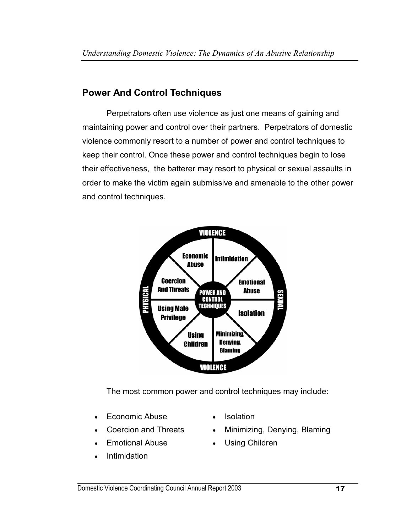# **Power And Control Techniques**

 Perpetrators often use violence as just one means of gaining and maintaining power and control over their partners. Perpetrators of domestic violence commonly resort to a number of power and control techniques to keep their control. Once these power and control techniques begin to lose their effectiveness, the batterer may resort to physical or sexual assaults in order to make the victim again submissive and amenable to the other power and control techniques.



The most common power and control techniques may include:

- Economic Abuse Isolation
- 
- Emotional Abuse Using Children
- **Intimidation**
- 
- Coercion and Threats Minimizing, Denying, Blaming
	-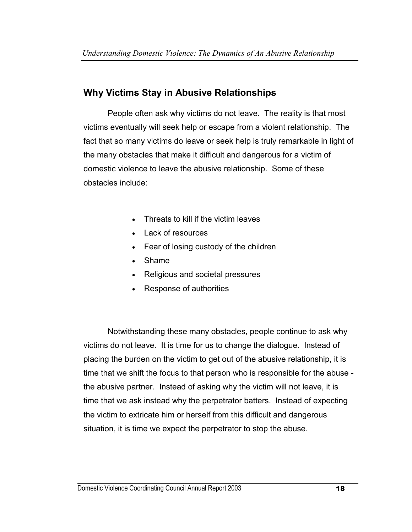# **Why Victims Stay in Abusive Relationships**

 People often ask why victims do not leave. The reality is that most victims eventually will seek help or escape from a violent relationship. The fact that so many victims do leave or seek help is truly remarkable in light of the many obstacles that make it difficult and dangerous for a victim of domestic violence to leave the abusive relationship. Some of these obstacles include:

- Threats to kill if the victim leaves
- Lack of resources
- Fear of losing custody of the children
- Shame
- Religious and societal pressures
- Response of authorities

 Notwithstanding these many obstacles, people continue to ask why victims do not leave. It is time for us to change the dialogue. Instead of placing the burden on the victim to get out of the abusive relationship, it is time that we shift the focus to that person who is responsible for the abuse the abusive partner. Instead of asking why the victim will not leave, it is time that we ask instead why the perpetrator batters. Instead of expecting the victim to extricate him or herself from this difficult and dangerous situation, it is time we expect the perpetrator to stop the abuse.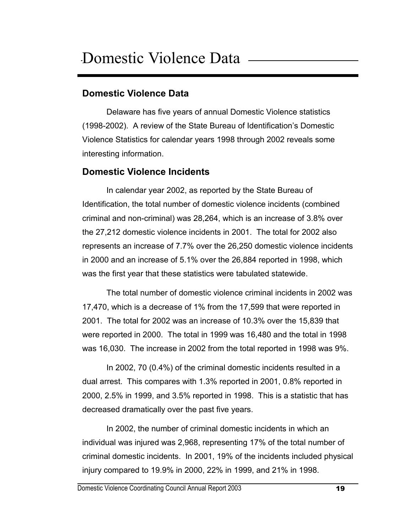## **Domestic Violence Data**

 Delaware has five years of annual Domestic Violence statistics (1998-2002). A review of the State Bureau of Identification's Domestic Violence Statistics for calendar years 1998 through 2002 reveals some interesting information.

### **Domestic Violence Incidents**

In calendar year 2002, as reported by the State Bureau of Identification, the total number of domestic violence incidents (combined criminal and non-criminal) was 28,264, which is an increase of 3.8% over the 27,212 domestic violence incidents in 2001. The total for 2002 also represents an increase of 7.7% over the 26,250 domestic violence incidents in 2000 and an increase of 5.1% over the 26,884 reported in 1998, which was the first year that these statistics were tabulated statewide.

 The total number of domestic violence criminal incidents in 2002 was 17,470, which is a decrease of 1% from the 17,599 that were reported in 2001. The total for 2002 was an increase of 10.3% over the 15,839 that were reported in 2000. The total in 1999 was 16,480 and the total in 1998 was 16,030. The increase in 2002 from the total reported in 1998 was 9%.

 In 2002, 70 (0.4%) of the criminal domestic incidents resulted in a dual arrest. This compares with 1.3% reported in 2001, 0.8% reported in 2000, 2.5% in 1999, and 3.5% reported in 1998. This is a statistic that has decreased dramatically over the past five years.

 In 2002, the number of criminal domestic incidents in which an individual was injured was 2,968, representing 17% of the total number of criminal domestic incidents. In 2001, 19% of the incidents included physical injury compared to 19.9% in 2000, 22% in 1999, and 21% in 1998.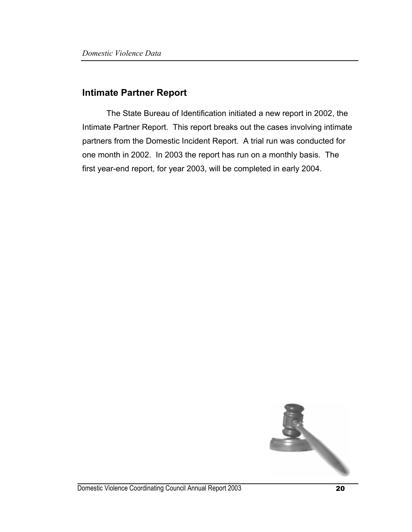#### **Intimate Partner Report**

The State Bureau of Identification initiated a new report in 2002, the Intimate Partner Report. This report breaks out the cases involving intimate partners from the Domestic Incident Report. A trial run was conducted for one month in 2002. In 2003 the report has run on a monthly basis. The first year-end report, for year 2003, will be completed in early 2004.

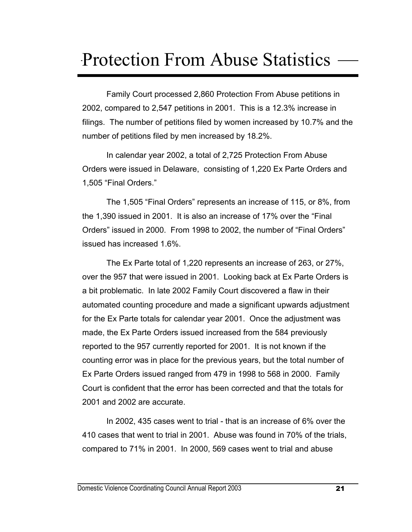# Protection From Abuse Statistics

 Family Court processed 2,860 Protection From Abuse petitions in 2002, compared to 2,547 petitions in 2001. This is a 12.3% increase in filings. The number of petitions filed by women increased by 10.7% and the number of petitions filed by men increased by 18.2%.

In calendar year 2002, a total of 2,725 Protection From Abuse Orders were issued in Delaware, consisting of 1,220 Ex Parte Orders and 1,505 "Final Orders."

The 1,505 "Final Orders" represents an increase of 115, or 8%, from the 1,390 issued in 2001. It is also an increase of 17% over the "Final Orders" issued in 2000. From 1998 to 2002, the number of "Final Orders" issued has increased 1.6%.

 The Ex Parte total of 1,220 represents an increase of 263, or 27%, over the 957 that were issued in 2001. Looking back at Ex Parte Orders is a bit problematic. In late 2002 Family Court discovered a flaw in their automated counting procedure and made a significant upwards adjustment for the Ex Parte totals for calendar year 2001. Once the adjustment was made, the Ex Parte Orders issued increased from the 584 previously reported to the 957 currently reported for 2001. It is not known if the counting error was in place for the previous years, but the total number of Ex Parte Orders issued ranged from 479 in 1998 to 568 in 2000. Family Court is confident that the error has been corrected and that the totals for 2001 and 2002 are accurate.

 In 2002, 435 cases went to trial - that is an increase of 6% over the 410 cases that went to trial in 2001. Abuse was found in 70% of the trials, compared to 71% in 2001. In 2000, 569 cases went to trial and abuse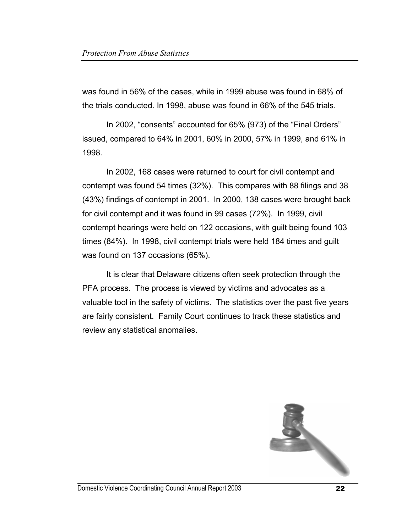was found in 56% of the cases, while in 1999 abuse was found in 68% of the trials conducted. In 1998, abuse was found in 66% of the 545 trials.

 In 2002, "consents" accounted for 65% (973) of the "Final Orders" issued, compared to 64% in 2001, 60% in 2000, 57% in 1999, and 61% in 1998.

 In 2002, 168 cases were returned to court for civil contempt and contempt was found 54 times (32%). This compares with 88 filings and 38 (43%) findings of contempt in 2001. In 2000, 138 cases were brought back for civil contempt and it was found in 99 cases (72%). In 1999, civil contempt hearings were held on 122 occasions, with guilt being found 103 times (84%). In 1998, civil contempt trials were held 184 times and guilt was found on 137 occasions (65%).

 It is clear that Delaware citizens often seek protection through the PFA process. The process is viewed by victims and advocates as a valuable tool in the safety of victims. The statistics over the past five years are fairly consistent. Family Court continues to track these statistics and review any statistical anomalies.

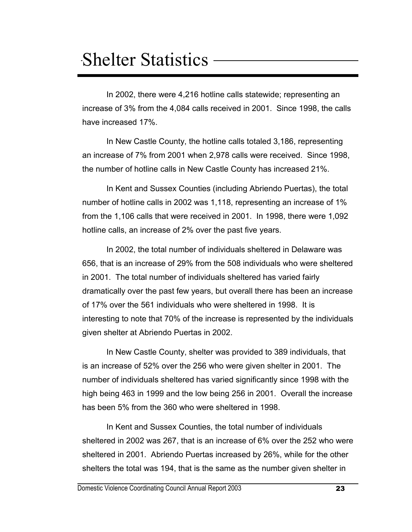# Shelter Statistics

In 2002, there were 4,216 hotline calls statewide; representing an increase of 3% from the 4,084 calls received in 2001. Since 1998, the calls have increased 17%.

In New Castle County, the hotline calls totaled 3,186, representing an increase of 7% from 2001 when 2,978 calls were received. Since 1998, the number of hotline calls in New Castle County has increased 21%.

In Kent and Sussex Counties (including Abriendo Puertas), the total number of hotline calls in 2002 was 1,118, representing an increase of 1% from the 1,106 calls that were received in 2001. In 1998, there were 1,092 hotline calls, an increase of 2% over the past five years.

In 2002, the total number of individuals sheltered in Delaware was 656, that is an increase of 29% from the 508 individuals who were sheltered in 2001. The total number of individuals sheltered has varied fairly dramatically over the past few years, but overall there has been an increase of 17% over the 561 individuals who were sheltered in 1998. It is interesting to note that 70% of the increase is represented by the individuals given shelter at Abriendo Puertas in 2002.

In New Castle County, shelter was provided to 389 individuals, that is an increase of 52% over the 256 who were given shelter in 2001. The number of individuals sheltered has varied significantly since 1998 with the high being 463 in 1999 and the low being 256 in 2001. Overall the increase has been 5% from the 360 who were sheltered in 1998.

In Kent and Sussex Counties, the total number of individuals sheltered in 2002 was 267, that is an increase of 6% over the 252 who were sheltered in 2001. Abriendo Puertas increased by 26%, while for the other shelters the total was 194, that is the same as the number given shelter in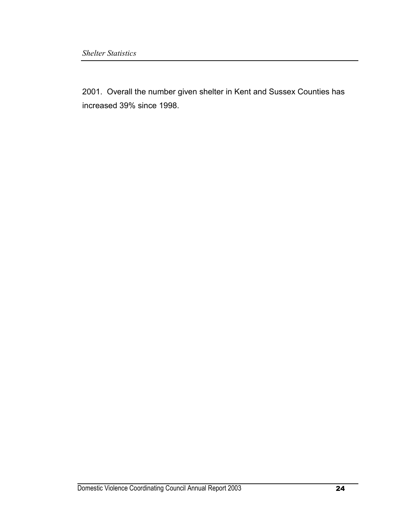2001. Overall the number given shelter in Kent and Sussex Counties has increased 39% since 1998.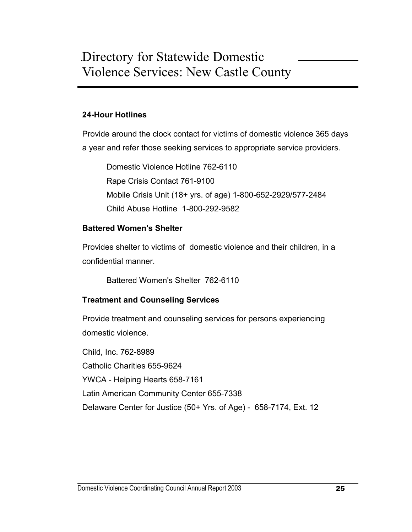#### **24-Hour Hotlines**

Provide around the clock contact for victims of domestic violence 365 days a year and refer those seeking services to appropriate service providers.

Domestic Violence Hotline 762-6110 Rape Crisis Contact 761-9100 Mobile Crisis Unit (18+ yrs. of age) 1-800-652-2929/577-2484 Child Abuse Hotline 1-800-292-9582

#### **Battered Women's Shelter**

Provides shelter to victims of domestic violence and their children, in a confidential manner.

Battered Women's Shelter 762-6110

#### **Treatment and Counseling Services**

Provide treatment and counseling services for persons experiencing domestic violence.

Child, Inc. 762-8989 Catholic Charities 655-9624 YWCA - Helping Hearts 658-7161 Latin American Community Center 655-7338 Delaware Center for Justice (50+ Yrs. of Age) - 658-7174, Ext. 12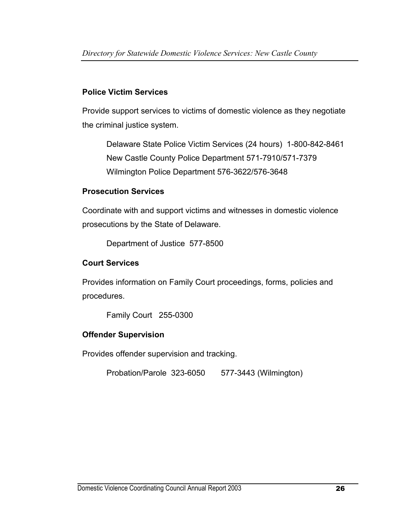#### **Police Victim Services**

Provide support services to victims of domestic violence as they negotiate the criminal justice system.

Delaware State Police Victim Services (24 hours) 1-800-842-8461 New Castle County Police Department 571-7910/571-7379 Wilmington Police Department 576-3622/576-3648

#### **Prosecution Services**

Coordinate with and support victims and witnesses in domestic violence prosecutions by the State of Delaware.

Department of Justice 577-8500

#### **Court Services**

Provides information on Family Court proceedings, forms, policies and procedures.

Family Court 255-0300

### **Offender Supervision**

Provides offender supervision and tracking.

Probation/Parole 323-6050 577-3443 (Wilmington)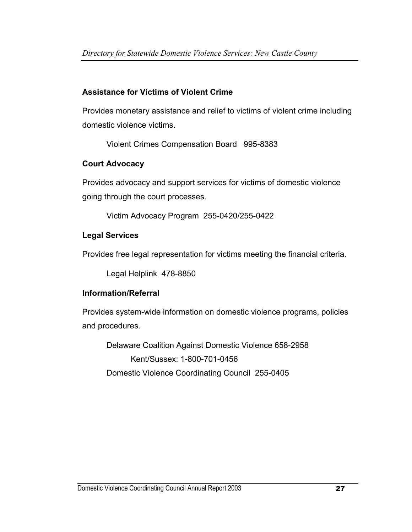### **Assistance for Victims of Violent Crime**

Provides monetary assistance and relief to victims of violent crime including domestic violence victims.

Violent Crimes Compensation Board 995-8383

#### **Court Advocacy**

Provides advocacy and support services for victims of domestic violence going through the court processes.

Victim Advocacy Program 255-0420/255-0422

#### **Legal Services**

Provides free legal representation for victims meeting the financial criteria.

Legal Helplink 478-8850

#### **Information/Referral**

Provides system-wide information on domestic violence programs, policies and procedures.

Delaware Coalition Against Domestic Violence 658-2958 Kent/Sussex: 1-800-701-0456 Domestic Violence Coordinating Council 255-0405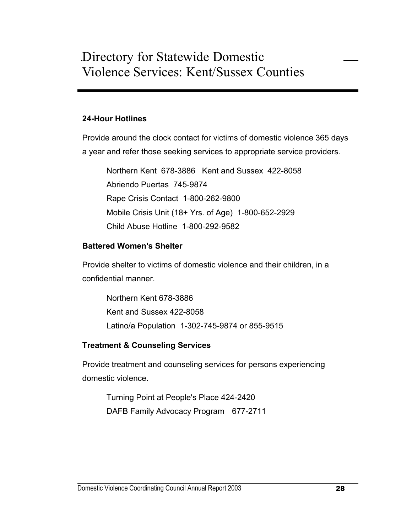#### **24-Hour Hotlines**

Provide around the clock contact for victims of domestic violence 365 days a year and refer those seeking services to appropriate service providers.

Northern Kent 678-3886 Kent and Sussex 422-8058 Abriendo Puertas 745-9874 Rape Crisis Contact 1-800-262-9800 Mobile Crisis Unit (18+ Yrs. of Age) 1-800-652-2929 Child Abuse Hotline 1-800-292-9582

#### **Battered Women's Shelter**

Provide shelter to victims of domestic violence and their children, in a confidential manner.

Northern Kent 678-3886 Kent and Sussex 422-8058 Latino/a Population 1-302-745-9874 or 855-9515

#### **Treatment & Counseling Services**

Provide treatment and counseling services for persons experiencing domestic violence.

Turning Point at People's Place 424-2420 DAFB Family Advocacy Program 677-2711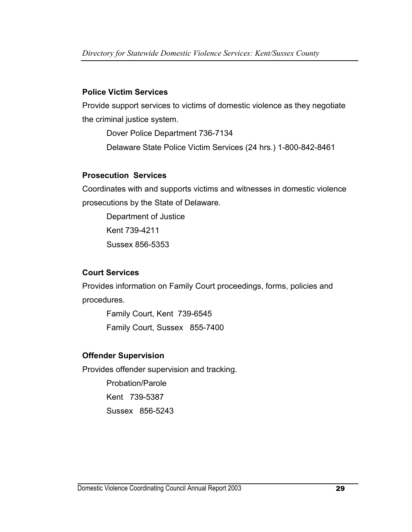#### **Police Victim Services**

Provide support services to victims of domestic violence as they negotiate the criminal justice system.

Dover Police Department 736-7134

Delaware State Police Victim Services (24 hrs.) 1-800-842-8461

#### **Prosecution Services**

Coordinates with and supports victims and witnesses in domestic violence prosecutions by the State of Delaware.

Department of Justice Kent 739-4211 Sussex 856-5353

### **Court Services**

Provides information on Family Court proceedings, forms, policies and procedures.

Family Court, Kent 739-6545 Family Court, Sussex 855-7400

### **Offender Supervision**

Provides offender supervision and tracking. Probation/Parole Kent 739-5387 Sussex 856-5243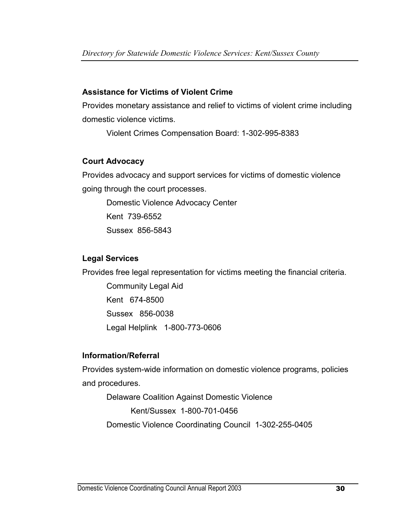#### **Assistance for Victims of Violent Crime**

Provides monetary assistance and relief to victims of violent crime including domestic violence victims.

Violent Crimes Compensation Board: 1-302-995-8383

#### **Court Advocacy**

Provides advocacy and support services for victims of domestic violence going through the court processes.

Domestic Violence Advocacy Center Kent 739-6552 Sussex 856-5843

#### **Legal Services**

Provides free legal representation for victims meeting the financial criteria.

Community Legal Aid Kent 674-8500 Sussex 856-0038 Legal Helplink 1-800-773-0606

### **Information/Referral**

Provides system-wide information on domestic violence programs, policies and procedures.

Delaware Coalition Against Domestic Violence Kent/Sussex 1-800-701-0456 Domestic Violence Coordinating Council 1-302-255-0405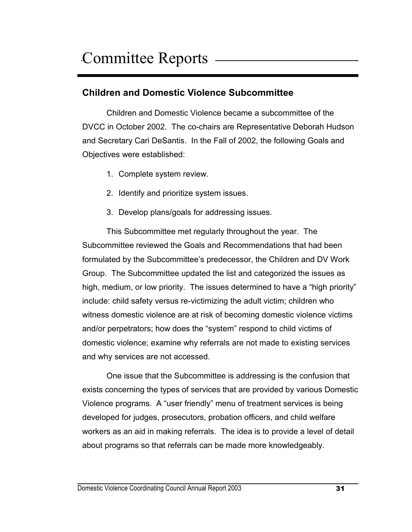# **Children and Domestic Violence Subcommittee**

 Children and Domestic Violence became a subcommittee of the DVCC in October 2002. The co-chairs are Representative Deborah Hudson and Secretary Cari DeSantis. In the Fall of 2002, the following Goals and Objectives were established:

- 1. Complete system review.
- 2. Identify and prioritize system issues.
- 3. Develop plans/goals for addressing issues.

This Subcommittee met regularly throughout the year. The Subcommittee reviewed the Goals and Recommendations that had been formulated by the Subcommittee's predecessor, the Children and DV Work Group. The Subcommittee updated the list and categorized the issues as high, medium, or low priority. The issues determined to have a "high priority" include: child safety versus re-victimizing the adult victim; children who witness domestic violence are at risk of becoming domestic violence victims and/or perpetrators; how does the "system" respond to child victims of domestic violence; examine why referrals are not made to existing services and why services are not accessed.

One issue that the Subcommittee is addressing is the confusion that exists concerning the types of services that are provided by various Domestic Violence programs. A "user friendly" menu of treatment services is being developed for judges, prosecutors, probation officers, and child welfare workers as an aid in making referrals. The idea is to provide a level of detail about programs so that referrals can be made more knowledgeably.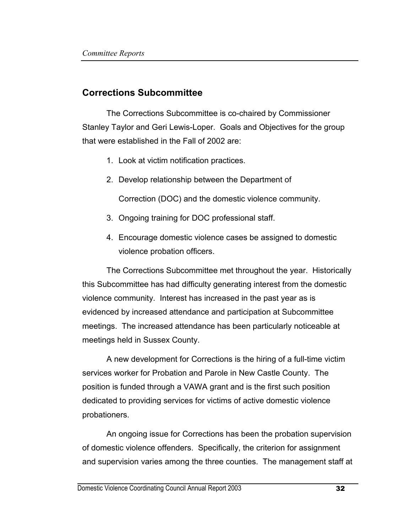## **Corrections Subcommittee**

The Corrections Subcommittee is co-chaired by Commissioner Stanley Taylor and Geri Lewis-Loper. Goals and Objectives for the group that were established in the Fall of 2002 are:

- 1. Look at victim notification practices.
- 2. Develop relationship between the Department of

Correction (DOC) and the domestic violence community.

- 3. Ongoing training for DOC professional staff.
- 4. Encourage domestic violence cases be assigned to domestic violence probation officers.

The Corrections Subcommittee met throughout the year. Historically this Subcommittee has had difficulty generating interest from the domestic violence community. Interest has increased in the past year as is evidenced by increased attendance and participation at Subcommittee meetings. The increased attendance has been particularly noticeable at meetings held in Sussex County.

A new development for Corrections is the hiring of a full-time victim services worker for Probation and Parole in New Castle County. The position is funded through a VAWA grant and is the first such position dedicated to providing services for victims of active domestic violence probationers.

An ongoing issue for Corrections has been the probation supervision of domestic violence offenders. Specifically, the criterion for assignment and supervision varies among the three counties. The management staff at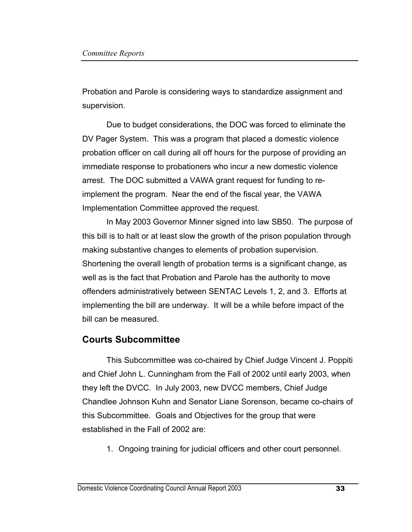Probation and Parole is considering ways to standardize assignment and supervision.

Due to budget considerations, the DOC was forced to eliminate the DV Pager System. This was a program that placed a domestic violence probation officer on call during all off hours for the purpose of providing an immediate response to probationers who incur a new domestic violence arrest. The DOC submitted a VAWA grant request for funding to reimplement the program. Near the end of the fiscal year, the VAWA Implementation Committee approved the request.

 In May 2003 Governor Minner signed into law SB50. The purpose of this bill is to halt or at least slow the growth of the prison population through making substantive changes to elements of probation supervision. Shortening the overall length of probation terms is a significant change, as well as is the fact that Probation and Parole has the authority to move offenders administratively between SENTAC Levels 1, 2, and 3. Efforts at implementing the bill are underway. It will be a while before impact of the bill can be measured.

### **Courts Subcommittee**

This Subcommittee was co-chaired by Chief Judge Vincent J. Poppiti and Chief John L. Cunningham from the Fall of 2002 until early 2003, when they left the DVCC. In July 2003, new DVCC members, Chief Judge Chandlee Johnson Kuhn and Senator Liane Sorenson, became co-chairs of this Subcommittee. Goals and Objectives for the group that were established in the Fall of 2002 are:

1. Ongoing training for judicial officers and other court personnel.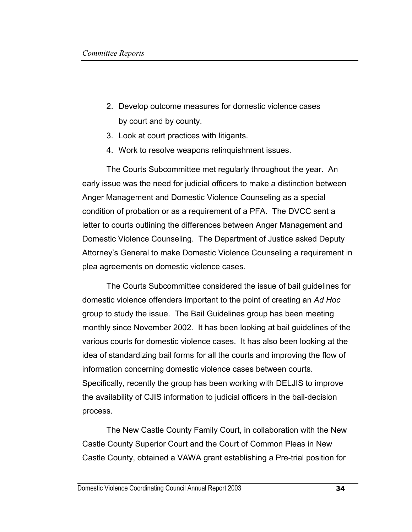- 2. Develop outcome measures for domestic violence cases by court and by county.
- 3. Look at court practices with litigants.
- 4. Work to resolve weapons relinquishment issues.

The Courts Subcommittee met regularly throughout the year. An early issue was the need for judicial officers to make a distinction between Anger Management and Domestic Violence Counseling as a special condition of probation or as a requirement of a PFA. The DVCC sent a letter to courts outlining the differences between Anger Management and Domestic Violence Counseling. The Department of Justice asked Deputy Attorney's General to make Domestic Violence Counseling a requirement in plea agreements on domestic violence cases.

The Courts Subcommittee considered the issue of bail guidelines for domestic violence offenders important to the point of creating an *Ad Hoc*  group to study the issue. The Bail Guidelines group has been meeting monthly since November 2002. It has been looking at bail guidelines of the various courts for domestic violence cases. It has also been looking at the idea of standardizing bail forms for all the courts and improving the flow of information concerning domestic violence cases between courts. Specifically, recently the group has been working with DELJIS to improve the availability of CJIS information to judicial officers in the bail-decision process.

The New Castle County Family Court, in collaboration with the New Castle County Superior Court and the Court of Common Pleas in New Castle County, obtained a VAWA grant establishing a Pre-trial position for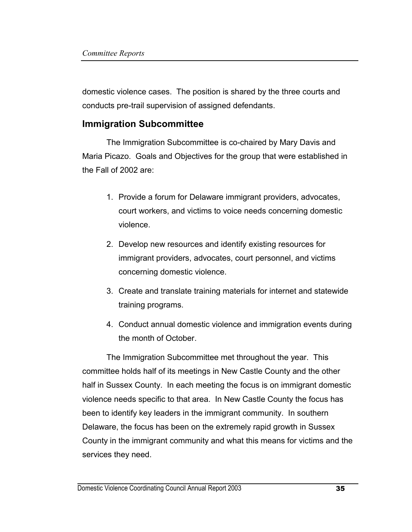domestic violence cases. The position is shared by the three courts and conducts pre-trail supervision of assigned defendants.

#### **Immigration Subcommittee**

 The Immigration Subcommittee is co-chaired by Mary Davis and Maria Picazo. Goals and Objectives for the group that were established in the Fall of 2002 are:

- 1. Provide a forum for Delaware immigrant providers, advocates, court workers, and victims to voice needs concerning domestic violence.
- 2. Develop new resources and identify existing resources for immigrant providers, advocates, court personnel, and victims concerning domestic violence.
- 3. Create and translate training materials for internet and statewide training programs.
- 4. Conduct annual domestic violence and immigration events during the month of October.

The Immigration Subcommittee met throughout the year. This committee holds half of its meetings in New Castle County and the other half in Sussex County. In each meeting the focus is on immigrant domestic violence needs specific to that area. In New Castle County the focus has been to identify key leaders in the immigrant community. In southern Delaware, the focus has been on the extremely rapid growth in Sussex County in the immigrant community and what this means for victims and the services they need.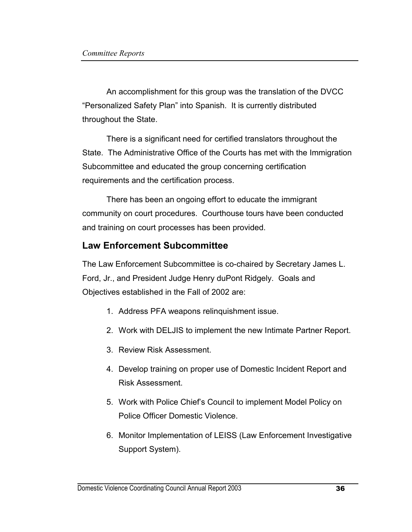An accomplishment for this group was the translation of the DVCC "Personalized Safety Plan" into Spanish. It is currently distributed throughout the State.

There is a significant need for certified translators throughout the State. The Administrative Office of the Courts has met with the Immigration Subcommittee and educated the group concerning certification requirements and the certification process.

There has been an ongoing effort to educate the immigrant community on court procedures. Courthouse tours have been conducted and training on court processes has been provided.

## **Law Enforcement Subcommittee**

The Law Enforcement Subcommittee is co-chaired by Secretary James L. Ford, Jr., and President Judge Henry duPont Ridgely. Goals and Objectives established in the Fall of 2002 are:

- 1. Address PFA weapons relinquishment issue.
- 2. Work with DELJIS to implement the new Intimate Partner Report.
- 3. Review Risk Assessment.
- 4. Develop training on proper use of Domestic Incident Report and Risk Assessment.
- 5. Work with Police Chief's Council to implement Model Policy on Police Officer Domestic Violence.
- 6. Monitor Implementation of LEISS (Law Enforcement Investigative Support System).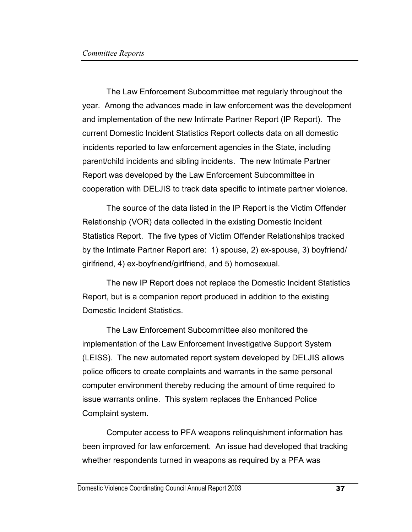The Law Enforcement Subcommittee met regularly throughout the year. Among the advances made in law enforcement was the development and implementation of the new Intimate Partner Report (IP Report). The current Domestic Incident Statistics Report collects data on all domestic incidents reported to law enforcement agencies in the State, including parent/child incidents and sibling incidents. The new Intimate Partner Report was developed by the Law Enforcement Subcommittee in cooperation with DELJIS to track data specific to intimate partner violence.

The source of the data listed in the IP Report is the Victim Offender Relationship (VOR) data collected in the existing Domestic Incident Statistics Report. The five types of Victim Offender Relationships tracked by the Intimate Partner Report are: 1) spouse, 2) ex-spouse, 3) boyfriend/ girlfriend, 4) ex-boyfriend/girlfriend, and 5) homosexual.

The new IP Report does not replace the Domestic Incident Statistics Report, but is a companion report produced in addition to the existing Domestic Incident Statistics.

The Law Enforcement Subcommittee also monitored the implementation of the Law Enforcement Investigative Support System (LEISS). The new automated report system developed by DELJIS allows police officers to create complaints and warrants in the same personal computer environment thereby reducing the amount of time required to issue warrants online. This system replaces the Enhanced Police Complaint system.

Computer access to PFA weapons relinquishment information has been improved for law enforcement. An issue had developed that tracking whether respondents turned in weapons as required by a PFA was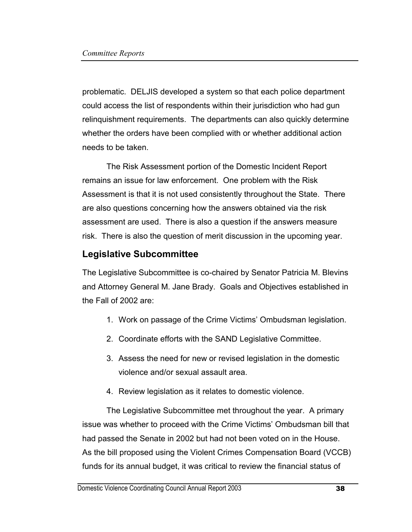problematic. DELJIS developed a system so that each police department could access the list of respondents within their jurisdiction who had gun relinquishment requirements. The departments can also quickly determine whether the orders have been complied with or whether additional action needs to be taken.

The Risk Assessment portion of the Domestic Incident Report remains an issue for law enforcement. One problem with the Risk Assessment is that it is not used consistently throughout the State. There are also questions concerning how the answers obtained via the risk assessment are used. There is also a question if the answers measure risk. There is also the question of merit discussion in the upcoming year.

# **Legislative Subcommittee**

The Legislative Subcommittee is co-chaired by Senator Patricia M. Blevins and Attorney General M. Jane Brady. Goals and Objectives established in the Fall of 2002 are:

- 1. Work on passage of the Crime Victims' Ombudsman legislation.
- 2. Coordinate efforts with the SAND Legislative Committee.
- 3. Assess the need for new or revised legislation in the domestic violence and/or sexual assault area.
- 4. Review legislation as it relates to domestic violence.

The Legislative Subcommittee met throughout the year. A primary issue was whether to proceed with the Crime Victims' Ombudsman bill that had passed the Senate in 2002 but had not been voted on in the House. As the bill proposed using the Violent Crimes Compensation Board (VCCB) funds for its annual budget, it was critical to review the financial status of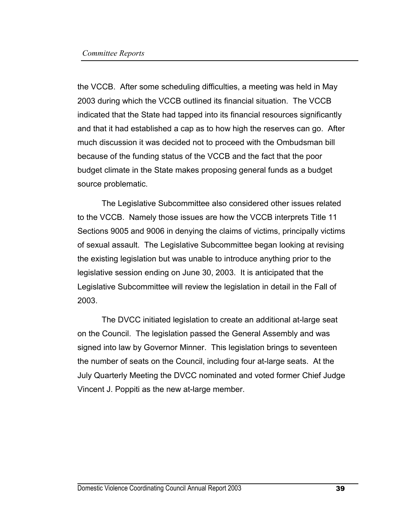the VCCB. After some scheduling difficulties, a meeting was held in May 2003 during which the VCCB outlined its financial situation. The VCCB indicated that the State had tapped into its financial resources significantly and that it had established a cap as to how high the reserves can go. After much discussion it was decided not to proceed with the Ombudsman bill because of the funding status of the VCCB and the fact that the poor budget climate in the State makes proposing general funds as a budget source problematic.

The Legislative Subcommittee also considered other issues related to the VCCB. Namely those issues are how the VCCB interprets Title 11 Sections 9005 and 9006 in denying the claims of victims, principally victims of sexual assault. The Legislative Subcommittee began looking at revising the existing legislation but was unable to introduce anything prior to the legislative session ending on June 30, 2003. It is anticipated that the Legislative Subcommittee will review the legislation in detail in the Fall of 2003.

The DVCC initiated legislation to create an additional at-large seat on the Council. The legislation passed the General Assembly and was signed into law by Governor Minner. This legislation brings to seventeen the number of seats on the Council, including four at-large seats. At the July Quarterly Meeting the DVCC nominated and voted former Chief Judge Vincent J. Poppiti as the new at-large member.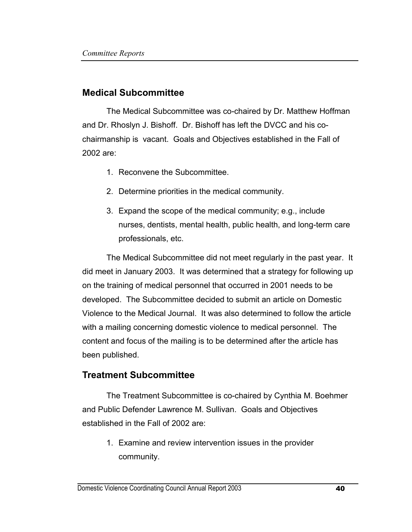#### **Medical Subcommittee**

The Medical Subcommittee was co-chaired by Dr. Matthew Hoffman and Dr. Rhoslyn J. Bishoff. Dr. Bishoff has left the DVCC and his cochairmanship is vacant. Goals and Objectives established in the Fall of 2002 are:

- 1. Reconvene the Subcommittee.
- 2. Determine priorities in the medical community.
- 3. Expand the scope of the medical community; e.g., include nurses, dentists, mental health, public health, and long-term care professionals, etc.

The Medical Subcommittee did not meet regularly in the past year. It did meet in January 2003. It was determined that a strategy for following up on the training of medical personnel that occurred in 2001 needs to be developed. The Subcommittee decided to submit an article on Domestic Violence to the Medical Journal. It was also determined to follow the article with a mailing concerning domestic violence to medical personnel. The content and focus of the mailing is to be determined after the article has been published.

### **Treatment Subcommittee**

The Treatment Subcommittee is co-chaired by Cynthia M. Boehmer and Public Defender Lawrence M. Sullivan. Goals and Objectives established in the Fall of 2002 are:

1. Examine and review intervention issues in the provider community.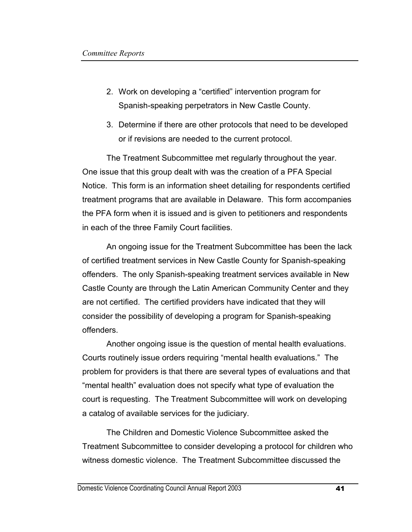- 2. Work on developing a "certified" intervention program for Spanish-speaking perpetrators in New Castle County.
- 3. Determine if there are other protocols that need to be developed or if revisions are needed to the current protocol.

The Treatment Subcommittee met regularly throughout the year. One issue that this group dealt with was the creation of a PFA Special Notice. This form is an information sheet detailing for respondents certified treatment programs that are available in Delaware. This form accompanies the PFA form when it is issued and is given to petitioners and respondents in each of the three Family Court facilities.

An ongoing issue for the Treatment Subcommittee has been the lack of certified treatment services in New Castle County for Spanish-speaking offenders. The only Spanish-speaking treatment services available in New Castle County are through the Latin American Community Center and they are not certified. The certified providers have indicated that they will consider the possibility of developing a program for Spanish-speaking offenders.

 Another ongoing issue is the question of mental health evaluations. Courts routinely issue orders requiring "mental health evaluations." The problem for providers is that there are several types of evaluations and that "mental health" evaluation does not specify what type of evaluation the court is requesting. The Treatment Subcommittee will work on developing a catalog of available services for the judiciary.

 The Children and Domestic Violence Subcommittee asked the Treatment Subcommittee to consider developing a protocol for children who witness domestic violence. The Treatment Subcommittee discussed the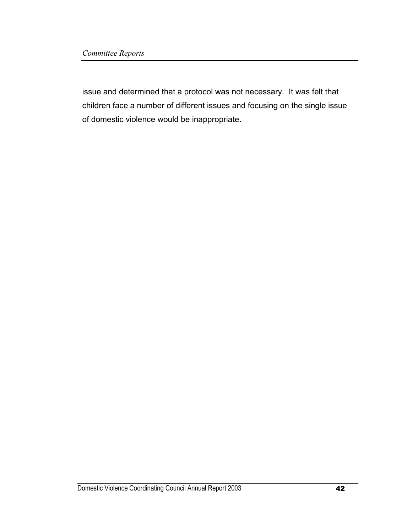issue and determined that a protocol was not necessary. It was felt that children face a number of different issues and focusing on the single issue of domestic violence would be inappropriate.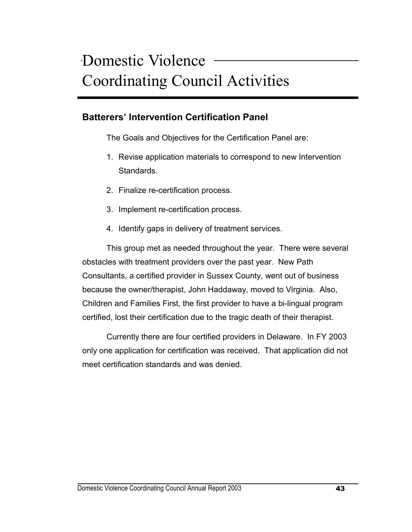## **Batterers' Intervention Certification Panel**

The Goals and Objectives for the Certification Panel are:

- 1. Revise application materials to correspond to new Intervention Standards.
- 2. Finalize re-certification process.
- 3. Implement re-certification process.
- 4. Identify gaps in delivery of treatment services.

 This group met as needed throughout the year. There were several obstacles with treatment providers over the past year. New Path Consultants, a certified provider in Sussex County, went out of business because the owner/therapist, John Haddaway, moved to Virginia. Also, Children and Families First, the first provider to have a bi-lingual program certified, lost their certification due to the tragic death of their therapist.

 Currently there are four certified providers in Delaware. In FY 2003 only one application for certification was received. That application did not meet certification standards and was denied.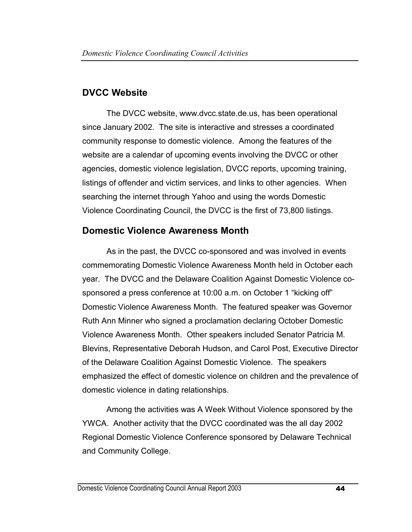# **DVCC Website**

The DVCC website, www.dvcc.state.de.us, has been operational since January 2002. The site is interactive and stresses a coordinated community response to domestic violence. Among the features of the website are a calendar of upcoming events involving the DVCC or other agencies, domestic violence legislation, DVCC reports, upcoming training, listings of offender and victim services, and links to other agencies. When searching the internet through Yahoo and using the words Domestic Violence Coordinating Council, the DVCC is the first of 73,800 listings.

# **Domestic Violence Awareness Month**

 As in the past, the DVCC co-sponsored and was involved in events commemorating Domestic Violence Awareness Month held in October each year. The DVCC and the Delaware Coalition Against Domestic Violence cosponsored a press conference at 10:00 a.m. on October 1 "kicking off" Domestic Violence Awareness Month. The featured speaker was Governor Ruth Ann Minner who signed a proclamation declaring October Domestic Violence Awareness Month. Other speakers included Senator Patricia M. Blevins, Representative Deborah Hudson, and Carol Post, Executive Director of the Delaware Coalition Against Domestic Violence. The speakers emphasized the effect of domestic violence on children and the prevalence of domestic violence in dating relationships.

 Among the activities was A Week Without Violence sponsored by the YWCA. Another activity that the DVCC coordinated was the all day 2002 Regional Domestic Violence Conference sponsored by Delaware Technical and Community College.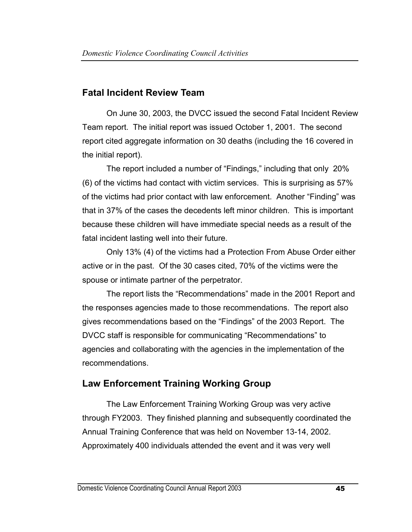## **Fatal Incident Review Team**

On June 30, 2003, the DVCC issued the second Fatal Incident Review Team report. The initial report was issued October 1, 2001. The second report cited aggregate information on 30 deaths (including the 16 covered in the initial report).

 The report included a number of "Findings," including that only 20% (6) of the victims had contact with victim services. This is surprising as 57% of the victims had prior contact with law enforcement. Another "Finding" was that in 37% of the cases the decedents left minor children. This is important because these children will have immediate special needs as a result of the fatal incident lasting well into their future.

 Only 13% (4) of the victims had a Protection From Abuse Order either active or in the past. Of the 30 cases cited, 70% of the victims were the spouse or intimate partner of the perpetrator.

 The report lists the "Recommendations" made in the 2001 Report and the responses agencies made to those recommendations. The report also gives recommendations based on the "Findings" of the 2003 Report. The DVCC staff is responsible for communicating "Recommendations" to agencies and collaborating with the agencies in the implementation of the recommendations.

# **Law Enforcement Training Working Group**

The Law Enforcement Training Working Group was very active through FY2003. They finished planning and subsequently coordinated the Annual Training Conference that was held on November 13-14, 2002. Approximately 400 individuals attended the event and it was very well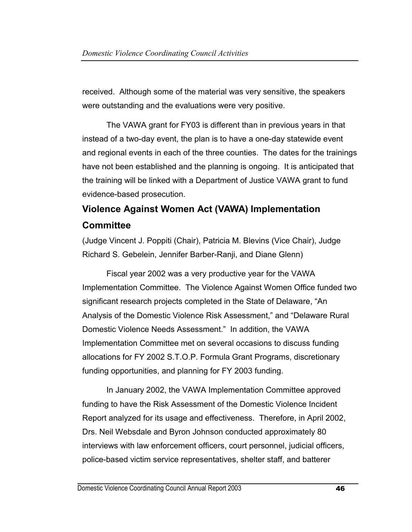received. Although some of the material was very sensitive, the speakers were outstanding and the evaluations were very positive.

The VAWA grant for FY03 is different than in previous years in that instead of a two-day event, the plan is to have a one-day statewide event and regional events in each of the three counties. The dates for the trainings have not been established and the planning is ongoing. It is anticipated that the training will be linked with a Department of Justice VAWA grant to fund evidence-based prosecution.

# **Violence Against Women Act (VAWA) Implementation Committee**

(Judge Vincent J. Poppiti (Chair), Patricia M. Blevins (Vice Chair), Judge Richard S. Gebelein, Jennifer Barber-Ranji, and Diane Glenn)

 Fiscal year 2002 was a very productive year for the VAWA Implementation Committee. The Violence Against Women Office funded two significant research projects completed in the State of Delaware, "An Analysis of the Domestic Violence Risk Assessment," and "Delaware Rural Domestic Violence Needs Assessment." In addition, the VAWA Implementation Committee met on several occasions to discuss funding allocations for FY 2002 S.T.O.P. Formula Grant Programs, discretionary funding opportunities, and planning for FY 2003 funding.

 In January 2002, the VAWA Implementation Committee approved funding to have the Risk Assessment of the Domestic Violence Incident Report analyzed for its usage and effectiveness. Therefore, in April 2002, Drs. Neil Websdale and Byron Johnson conducted approximately 80 interviews with law enforcement officers, court personnel, judicial officers, police-based victim service representatives, shelter staff, and batterer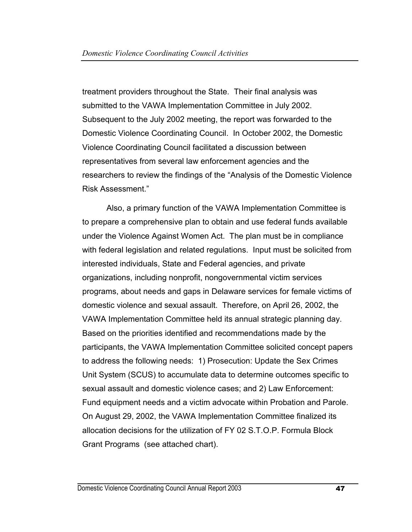treatment providers throughout the State. Their final analysis was submitted to the VAWA Implementation Committee in July 2002. Subsequent to the July 2002 meeting, the report was forwarded to the Domestic Violence Coordinating Council. In October 2002, the Domestic Violence Coordinating Council facilitated a discussion between representatives from several law enforcement agencies and the researchers to review the findings of the "Analysis of the Domestic Violence Risk Assessment."

 Also, a primary function of the VAWA Implementation Committee is to prepare a comprehensive plan to obtain and use federal funds available under the Violence Against Women Act. The plan must be in compliance with federal legislation and related regulations. Input must be solicited from interested individuals, State and Federal agencies, and private organizations, including nonprofit, nongovernmental victim services programs, about needs and gaps in Delaware services for female victims of domestic violence and sexual assault. Therefore, on April 26, 2002, the VAWA Implementation Committee held its annual strategic planning day. Based on the priorities identified and recommendations made by the participants, the VAWA Implementation Committee solicited concept papers to address the following needs: 1) Prosecution: Update the Sex Crimes Unit System (SCUS) to accumulate data to determine outcomes specific to sexual assault and domestic violence cases; and 2) Law Enforcement: Fund equipment needs and a victim advocate within Probation and Parole. On August 29, 2002, the VAWA Implementation Committee finalized its allocation decisions for the utilization of FY 02 S.T.O.P. Formula Block Grant Programs (see attached chart).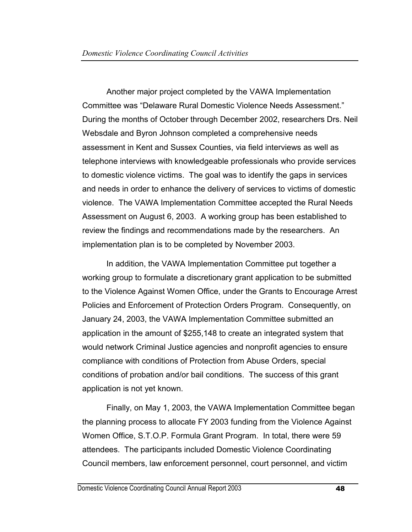Another major project completed by the VAWA Implementation Committee was "Delaware Rural Domestic Violence Needs Assessment." During the months of October through December 2002, researchers Drs. Neil Websdale and Byron Johnson completed a comprehensive needs assessment in Kent and Sussex Counties, via field interviews as well as telephone interviews with knowledgeable professionals who provide services to domestic violence victims. The goal was to identify the gaps in services and needs in order to enhance the delivery of services to victims of domestic violence. The VAWA Implementation Committee accepted the Rural Needs Assessment on August 6, 2003. A working group has been established to review the findings and recommendations made by the researchers. An implementation plan is to be completed by November 2003.

In addition, the VAWA Implementation Committee put together a working group to formulate a discretionary grant application to be submitted to the Violence Against Women Office, under the Grants to Encourage Arrest Policies and Enforcement of Protection Orders Program. Consequently, on January 24, 2003, the VAWA Implementation Committee submitted an application in the amount of \$255,148 to create an integrated system that would network Criminal Justice agencies and nonprofit agencies to ensure compliance with conditions of Protection from Abuse Orders, special conditions of probation and/or bail conditions. The success of this grant application is not yet known.

Finally, on May 1, 2003, the VAWA Implementation Committee began the planning process to allocate FY 2003 funding from the Violence Against Women Office, S.T.O.P. Formula Grant Program. In total, there were 59 attendees. The participants included Domestic Violence Coordinating Council members, law enforcement personnel, court personnel, and victim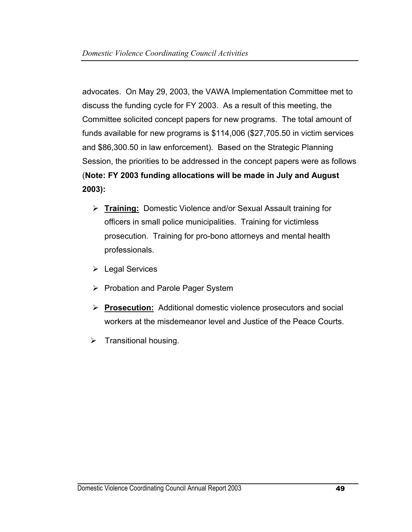advocates. On May 29, 2003, the VAWA Implementation Committee met to discuss the funding cycle for FY 2003. As a result of this meeting, the Committee solicited concept papers for new programs. The total amount of funds available for new programs is \$114,006 (\$27,705.50 in victim services and \$86,300.50 in law enforcement). Based on the Strategic Planning Session, the priorities to be addressed in the concept papers were as follows (**Note: FY 2003 funding allocations will be made in July and August 2003):** 

- ¾ **Training:** Domestic Violence and/or Sexual Assault training for officers in small police municipalities. Training for victimless prosecution. Training for pro-bono attorneys and mental health professionals.
- ¾ Legal Services
- ¾ Probation and Parole Pager System
- ¾ **Prosecution:** Additional domestic violence prosecutors and social workers at the misdemeanor level and Justice of the Peace Courts.
- $\triangleright$  Transitional housing.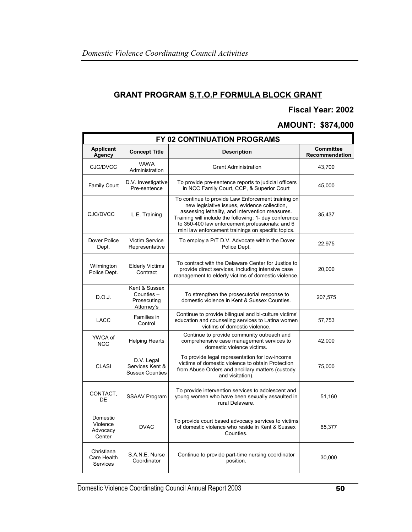#### **GRANT PROGRAM S.T.O.P FORMULA BLOCK GRANT**

#### **Fiscal Year: 2002**

#### **AMOUNT: \$874,000**

| FY 02 CONTINUATION PROGRAMS                  |                                                          |                                                                                                                                                                                                                                                                                                                          |                                    |
|----------------------------------------------|----------------------------------------------------------|--------------------------------------------------------------------------------------------------------------------------------------------------------------------------------------------------------------------------------------------------------------------------------------------------------------------------|------------------------------------|
| <b>Applicant</b><br><b>Agency</b>            | <b>Concept Title</b>                                     | <b>Description</b>                                                                                                                                                                                                                                                                                                       | <b>Committee</b><br>Recommendation |
| CJC/DVCC                                     | <b>VAWA</b><br>Administration                            | <b>Grant Administration</b>                                                                                                                                                                                                                                                                                              | 43,700                             |
| <b>Family Court</b>                          | D.V. Investigative<br>Pre-sentence                       | To provide pre-sentence reports to judicial officers<br>in NCC Family Court, CCP, & Superior Court                                                                                                                                                                                                                       | 45,000                             |
| CJC/DVCC                                     | L.E. Training                                            | To continue to provide Law Enforcement training on<br>new legislative issues, evidence collection,<br>assessing lethality, and intervention measures.<br>Training will include the following: 1- day conference<br>to 350-400 law enforcement professionals; and 6<br>mini law enforcement trainings on specific topics. | 35,437                             |
| Dover Police<br>Dept.                        | <b>Victim Service</b><br>Representative                  | To employ a P/T D.V. Advocate within the Dover<br>Police Dept.                                                                                                                                                                                                                                                           | 22,975                             |
| Wilmington<br>Police Dept.                   | <b>Elderly Victims</b><br>Contract                       | To contract with the Delaware Center for Justice to<br>provide direct services, including intensive case<br>management to elderly victims of domestic violence.                                                                                                                                                          | 20,000                             |
| D.O.J.                                       | Kent & Sussex<br>Counties -<br>Prosecuting<br>Attorney's | To strengthen the prosecutorial response to<br>domestic violence in Kent & Sussex Counties.                                                                                                                                                                                                                              | 207,575                            |
| <b>LACC</b>                                  | Families in<br>Control                                   | Continue to provide bilingual and bi-culture victims'<br>education and counseling services to Latina women<br>victims of domestic violence.                                                                                                                                                                              | 57,753                             |
| YWCA of<br><b>NCC</b>                        | <b>Helping Hearts</b>                                    | Continue to provide community outreach and<br>comprehensive case management services to<br>domestic violence victims.                                                                                                                                                                                                    | 42,000                             |
| <b>CLASI</b>                                 | D.V. Legal<br>Services Kent &<br><b>Sussex Counties</b>  | To provide legal representation for low-income<br>victims of domestic violence to obtain Protection<br>from Abuse Orders and ancillary matters (custody<br>and visitation).                                                                                                                                              | 75,000                             |
| CONTACT,<br>DE                               | SSAAV Program                                            | To provide intervention services to adolescent and<br>young women who have been sexually assaulted in<br>rural Delaware.                                                                                                                                                                                                 | 51,160                             |
| Domestic<br>Violence<br>Advocacy<br>Center   | <b>DVAC</b>                                              | To provide court based advocacy services to victims<br>of domestic violence who reside in Kent & Sussex<br>Counties.                                                                                                                                                                                                     | 65,377                             |
| Christiana<br>Care Health<br><b>Services</b> | S.A.N.E. Nurse<br>Coordinator                            | Continue to provide part-time nursing coordinator<br>position.                                                                                                                                                                                                                                                           | 30,000                             |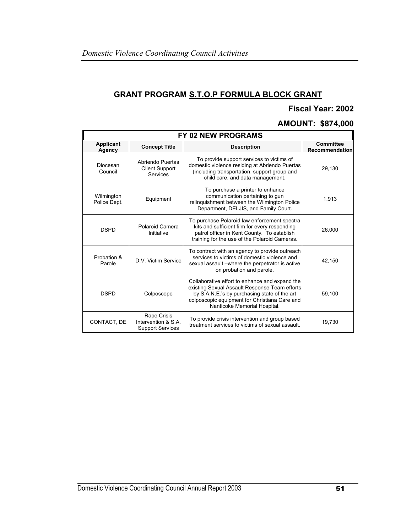## **GRANT PROGRAM S.T.O.P FORMULA BLOCK GRANT**

#### **Fiscal Year: 2002**

#### **AMOUNT: \$874,000**

| FY 02 NEW PROGRAMS         |                                                               |                                                                                                                                                                                                                                  |                                    |
|----------------------------|---------------------------------------------------------------|----------------------------------------------------------------------------------------------------------------------------------------------------------------------------------------------------------------------------------|------------------------------------|
| Applicant<br>Agency        | <b>Concept Title</b>                                          | <b>Description</b>                                                                                                                                                                                                               | <b>Committee</b><br>Recommendation |
| Diocesan<br>Council        | Abriendo Puertas<br><b>Client Support</b><br>Services         | To provide support services to victims of<br>domestic violence residing at Abriendo Puertas<br>(including transportation, support group and<br>child care, and data management.                                                  | 29,130                             |
| Wilmington<br>Police Dept. | Equipment                                                     | To purchase a printer to enhance<br>communication pertaining to gun<br>relinguishment between the Wilmington Police<br>Department, DELJIS, and Family Court.                                                                     | 1,913                              |
| <b>DSPD</b>                | Polaroid Camera<br>Initiative                                 | To purchase Polaroid law enforcement spectra<br>kits and sufficient film for every responding<br>patrol officer in Kent County. To establish<br>training for the use of the Polaroid Cameras.                                    | 26,000                             |
| Probation &<br>Parole      | D.V. Victim Service                                           | To contract with an agency to provide outreach<br>services to victims of domestic violence and<br>sexual assault – where the perpetrator is active<br>on probation and parole.                                                   | 42,150                             |
| <b>DSPD</b>                | Colposcope                                                    | Collaborative effort to enhance and expand the<br>existing Sexual Assault Response Team efforts<br>by S.A.N.E.'s by purchasing state of the art<br>colposcopic equipment for Christiana Care and<br>Nanticoke Memorial Hospital. | 59,100                             |
| CONTACT. DE                | Rape Crisis<br>Intervention & S.A.<br><b>Support Services</b> | To provide crisis intervention and group based<br>treatment services to victims of sexual assault.                                                                                                                               | 19,730                             |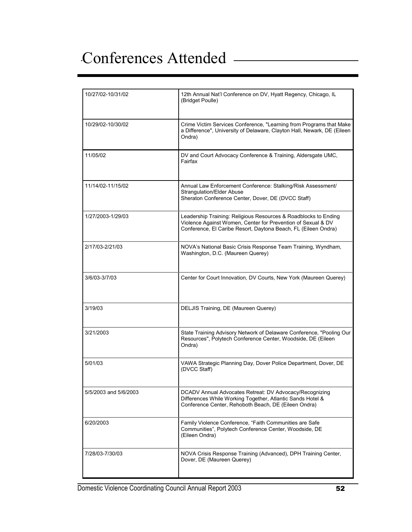# Conferences Attended

| 10/27/02-10/31/02     | 12th Annual Nat'l Conference on DV, Hyatt Regency, Chicago, IL<br>(Bridget Poulle)                                                                                                                |
|-----------------------|---------------------------------------------------------------------------------------------------------------------------------------------------------------------------------------------------|
| 10/29/02-10/30/02     | Crime Victim Services Conference, "Learning from Programs that Make<br>a Difference", University of Delaware, Clayton Hall, Newark, DE (Eileen<br>Ondra)                                          |
| 11/05/02              | DV and Court Advocacy Conference & Training, Aldersgate UMC,<br>Fairfax                                                                                                                           |
| 11/14/02-11/15/02     | Annual Law Enforcement Conference: Stalking/Risk Assessment/<br><b>Strangulation/Elder Abuse</b><br>Sheraton Conference Center, Dover, DE (DVCC Staff)                                            |
| 1/27/2003-1/29/03     | Leadership Training: Religious Resources & Roadblocks to Ending<br>Violence Against Women, Center for Prevention of Sexual & DV<br>Conference, El Caribe Resort, Daytona Beach, FL (Eileen Ondra) |
| 2/17/03-2/21/03       | NOVA's National Basic Crisis Response Team Training, Wyndham,<br>Washington, D.C. (Maureen Querey)                                                                                                |
| 3/6/03-3/7/03         | Center for Court Innovation, DV Courts, New York (Maureen Querey)                                                                                                                                 |
| 3/19/03               | DELJIS Training, DE (Maureen Querey)                                                                                                                                                              |
| 3/21/2003             | State Training Advisory Network of Delaware Conference, "Pooling Our<br>Resources", Polytech Conference Center, Woodside, DE (Eileen<br>Ondra)                                                    |
| 5/01/03               | VAWA Strategic Planning Day, Dover Police Department, Dover, DE<br>(DVCC Staff)                                                                                                                   |
| 5/5/2003 and 5/6/2003 | DCADV Annual Advocates Retreat: DV Advocacy/Recognizing<br>Differences While Working Together, Atlantic Sands Hotel &<br>Conference Center, Rehoboth Beach, DE (Eileen Ondra)                     |
| 6/20/2003             | Family Violence Conference, "Faith Communities are Safe<br>Communities", Polytech Conference Center, Woodside, DE<br>(Eileen Ondra)                                                               |
| 7/28/03-7/30/03       | NOVA Crisis Response Training (Advanced), DPH Training Center,<br>Dover, DE (Maureen Querey)                                                                                                      |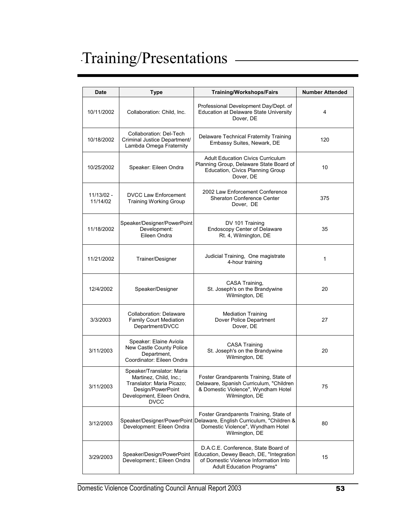# Training/Presentations

| Date                   | <b>Type</b>                                                                                                                                        | <b>Training/Workshops/Fairs</b>                                                                                                                                        | <b>Number Attended</b> |
|------------------------|----------------------------------------------------------------------------------------------------------------------------------------------------|------------------------------------------------------------------------------------------------------------------------------------------------------------------------|------------------------|
| 10/11/2002             | Collaboration: Child, Inc.                                                                                                                         | Professional Development Day/Dept. of<br>Education at Delaware State University<br>Dover, DE                                                                           | 4                      |
| 10/18/2002             | Collaboration: Del-Tech<br>Criminal Justice Department/<br>Lambda Omega Fraternity                                                                 | Delaware Technical Fraternity Training<br>Embassy Suites, Newark, DE                                                                                                   | 120                    |
| 10/25/2002             | Speaker: Eileen Ondra                                                                                                                              | <b>Adult Education Civics Curriculum</b><br>Planning Group, Delaware State Board of<br>Education, Civics Planning Group<br>Dover, DE                                   | 10                     |
| 11/13/02 -<br>11/14/02 | <b>DVCC Law Enforcement</b><br><b>Training Working Group</b>                                                                                       | 2002 Law Enforcement Conference<br><b>Sheraton Conference Center</b><br>Dover, DE                                                                                      | 375                    |
| 11/18/2002             | Speaker/Designer/PowerPoint<br>Development:<br>Eileen Ondra                                                                                        | DV 101 Training<br><b>Endoscopy Center of Delaware</b><br>Rt. 4, Wilmington, DE                                                                                        | 35                     |
| 11/21/2002             | Trainer/Designer                                                                                                                                   | Judicial Training, One magistrate<br>4-hour training                                                                                                                   | 1                      |
| 12/4/2002              | Speaker/Designer                                                                                                                                   | CASA Training,<br>St. Joseph's on the Brandywine<br>Wilmington, DE                                                                                                     | 20                     |
| 3/3/2003               | Collaboration: Delaware<br>Family Court Mediation<br>Department/DVCC                                                                               | <b>Mediation Training</b><br>Dover Police Department<br>Dover, DE                                                                                                      | 27                     |
| 3/11/2003              | Speaker: Elaine Aviola<br>New Castle County Police<br>Department,<br>Coordinator: Eileen Ondra                                                     | <b>CASA Training</b><br>St. Joseph's on the Brandywine<br>Wilmington, DE                                                                                               | 20                     |
| 3/11/2003              | Speaker/Translator: Maria<br>Martinez, Child, Inc.;<br>Translator: Maria Picazo;<br>Design/PowerPoint<br>Development, Eileen Ondra,<br><b>DVCC</b> | Foster Grandparents Training, State of<br>Delaware, Spanish Curriculum, "Children<br>& Domestic Violence", Wyndham Hotel<br>Wilmington, DE                             | 75                     |
| 3/12/2003              | Development: Eileen Ondra                                                                                                                          | Foster Grandparents Training, State of<br>Speaker/Designer/PowerPoint Delaware, English Curriculum, "Children &<br>Domestic Violence", Wyndham Hotel<br>Wilmington, DE | 80                     |
| 3/29/2003              | Speaker/Design/PowerPoint<br>Development:; Eileen Ondra                                                                                            | D.A.C.E. Conference, State Board of<br>Education, Dewey Beach, DE, "Integration<br>of Domestic Violence Information Into<br><b>Adult Education Programs"</b>           | 15                     |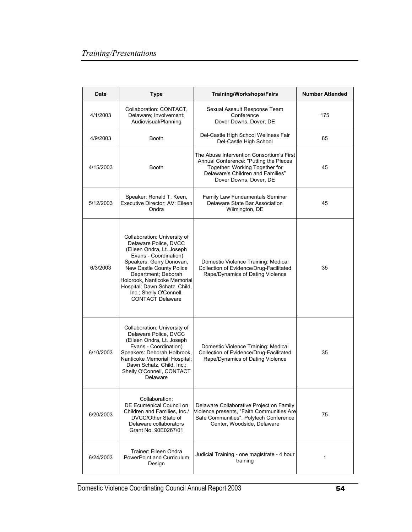| <b>Date</b> | <b>Type</b>                                                                                                                                                                                                                                                                                                       | <b>Training/Workshops/Fairs</b>                                                                                                                                                      | <b>Number Attended</b> |
|-------------|-------------------------------------------------------------------------------------------------------------------------------------------------------------------------------------------------------------------------------------------------------------------------------------------------------------------|--------------------------------------------------------------------------------------------------------------------------------------------------------------------------------------|------------------------|
| 4/1/2003    | Collaboration: CONTACT,<br>Delaware; Involvement:<br>Audiovisual/Planning                                                                                                                                                                                                                                         | Sexual Assault Response Team<br>Conference<br>Dover Downs, Dover, DE                                                                                                                 | 175                    |
| 4/9/2003    | <b>Booth</b>                                                                                                                                                                                                                                                                                                      | Del-Castle High School Wellness Fair<br>Del-Castle High School                                                                                                                       | 85                     |
| 4/15/2003   | <b>Booth</b>                                                                                                                                                                                                                                                                                                      | The Abuse Intervention Consortium's First<br>Annual Conference: "Putting the Pieces<br>Together: Working Together for<br>Delaware's Children and Families"<br>Dover Downs, Dover, DE | 45                     |
| 5/12/2003   | Speaker: Ronald T. Keen,<br>Executive Director; AV: Eileen<br>Ondra                                                                                                                                                                                                                                               | Family Law Fundamentals Seminar<br>Delaware State Bar Association<br>Wilmington, DE                                                                                                  | 45                     |
| 6/3/2003    | Collaboration: University of<br>Delaware Police, DVCC<br>(Eileen Ondra, Lt. Joseph<br>Evans - Coordination)<br>Speakers: Gerry Donovan,<br>New Castle County Police<br>Department; Deborah<br>Holbrook, Nanticoke Memorial<br>Hospital; Dawn Schatz, Child,<br>Inc.; Shelly O'Connell,<br><b>CONTACT Delaware</b> | Domestic Violence Training: Medical<br>Collection of Evidence/Drug-Facilitated<br>Rape/Dynamics of Dating Violence                                                                   | 35                     |
| 6/10/2003   | Collaboration: University of<br>Delaware Police, DVCC<br>(Eileen Ondra, Lt. Joseph<br>Evans - Coordination)<br>Speakers: Deborah Holbrook,<br>Nanticoke Memoriall Hospital;<br>Dawn Schatz, Child, Inc.;<br>Shelly O'Connell, CONTACT<br>Delaware                                                                 | Domestic Violence Training: Medical<br>Collection of Evidence/Drug-Facilitated<br>Rape/Dynamics of Dating Violence                                                                   | 35                     |
| 6/20/2003   | Collaboration:<br>DE Ecumenical Council on<br>Children and Families, Inc./<br>DVCC/Other State of<br>Delaware collaborators<br>Grant No. 90E0267/01                                                                                                                                                               | Delaware Collaborative Project on Family<br>Violence presents, "Faith Communities Are<br>Safe Communities", Polytech Conference<br>Center, Woodside, Delaware                        | 75                     |
| 6/24/2003   | Trainer: Eileen Ondra<br>PowerPoint and Curriculum<br>Design                                                                                                                                                                                                                                                      | Judicial Training - one magistrate - 4 hour<br>training                                                                                                                              | 1                      |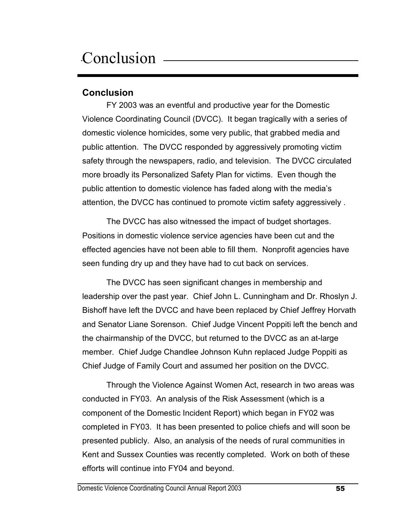# Conclusion —

### **Conclusion**

FY 2003 was an eventful and productive year for the Domestic Violence Coordinating Council (DVCC). It began tragically with a series of domestic violence homicides, some very public, that grabbed media and public attention. The DVCC responded by aggressively promoting victim safety through the newspapers, radio, and television. The DVCC circulated more broadly its Personalized Safety Plan for victims. Even though the public attention to domestic violence has faded along with the media's attention, the DVCC has continued to promote victim safety aggressively .

The DVCC has also witnessed the impact of budget shortages. Positions in domestic violence service agencies have been cut and the effected agencies have not been able to fill them. Nonprofit agencies have seen funding dry up and they have had to cut back on services.

The DVCC has seen significant changes in membership and leadership over the past year. Chief John L. Cunningham and Dr. Rhoslyn J. Bishoff have left the DVCC and have been replaced by Chief Jeffrey Horvath and Senator Liane Sorenson. Chief Judge Vincent Poppiti left the bench and the chairmanship of the DVCC, but returned to the DVCC as an at-large member. Chief Judge Chandlee Johnson Kuhn replaced Judge Poppiti as Chief Judge of Family Court and assumed her position on the DVCC.

Through the Violence Against Women Act, research in two areas was conducted in FY03. An analysis of the Risk Assessment (which is a component of the Domestic Incident Report) which began in FY02 was completed in FY03. It has been presented to police chiefs and will soon be presented publicly. Also, an analysis of the needs of rural communities in Kent and Sussex Counties was recently completed. Work on both of these efforts will continue into FY04 and beyond.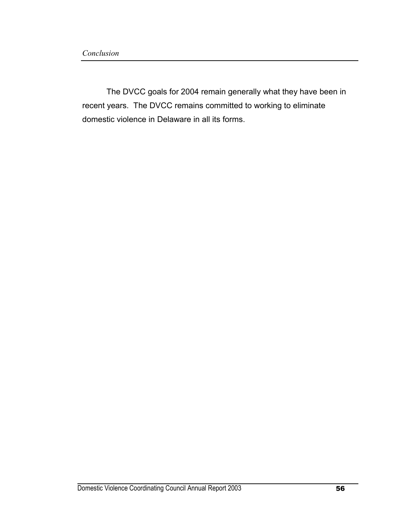The DVCC goals for 2004 remain generally what they have been in recent years. The DVCC remains committed to working to eliminate domestic violence in Delaware in all its forms.